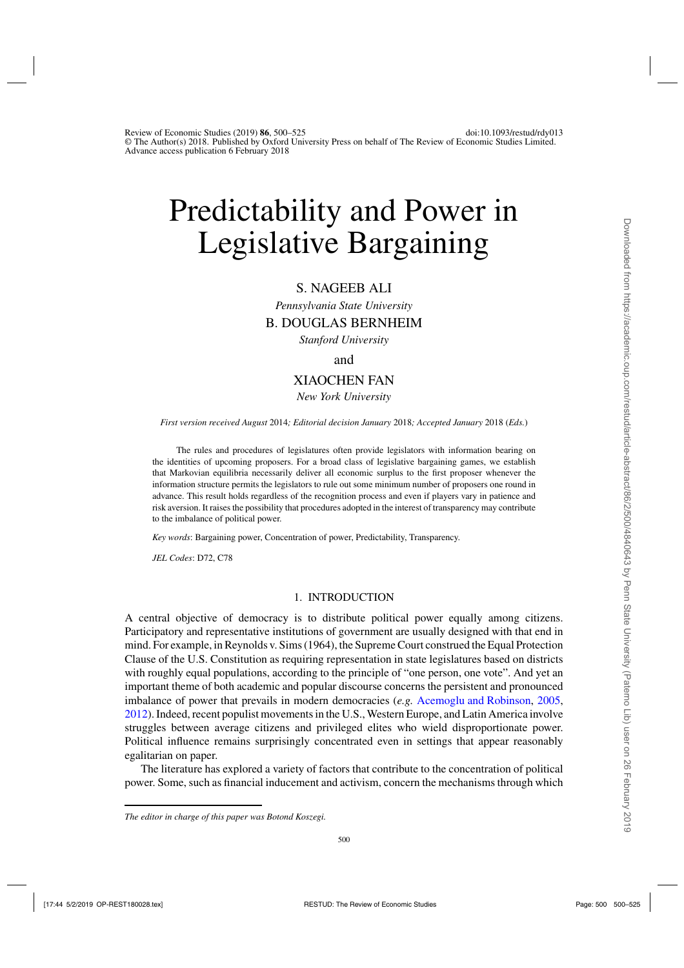# Predictability and Power in Legislative Bargaining

# S. NAGEEB ALI

*Pennsylvania State University*

## B. DOUGLAS BERNHEIM

*Stanford University*

## and

# XIAOCHEN FAN

*New York University*

*First version received August* 2014*; Editorial decision January* 2018*; Accepted January* 2018 (*Eds.*)

The rules and procedures of legislatures often provide legislators with information bearing on the identities of upcoming proposers. For a broad class of legislative bargaining games, we establish that Markovian equilibria necessarily deliver all economic surplus to the first proposer whenever the information structure permits the legislators to rule out some minimum number of proposers one round in advance. This result holds regardless of the recognition process and even if players vary in patience and risk aversion. It raises the possibility that procedures adopted in the interest of transparency may contribute to the imbalance of political power.

*Key words*: Bargaining power, Concentration of power, Predictability, Transparency.

*JEL Codes*: D72, C78

#### 1. INTRODUCTION

A central objective of democracy is to distribute political power equally among citizens. Participatory and representative institutions of government are usually designed with that end in mind. For example, in Reynolds v. Sims (1964), the Supreme Court construed the Equal Protection Clause of the U.S. Constitution as requiring representation in state legislatures based on districts with roughly equal populations, according to the principle of "one person, one vote". And yet an important theme of both academic and popular discourse concerns the persistent and pronounced imbalance of power that prevails in modern democracies (*e.g.* [Acemoglu and Robinson](#page-24-0), [2005,](#page-24-0) [2012\)](#page-24-0). Indeed, recent populist movements in the U.S., Western Europe, and Latin America involve struggles between average citizens and privileged elites who wield disproportionate power. Political influence remains surprisingly concentrated even in settings that appear reasonably egalitarian on paper.

The literature has explored a variety of factors that contribute to the concentration of political power. Some, such as financial inducement and activism, concern the mechanisms through which

*The editor in charge of this paper was Botond Koszegi.*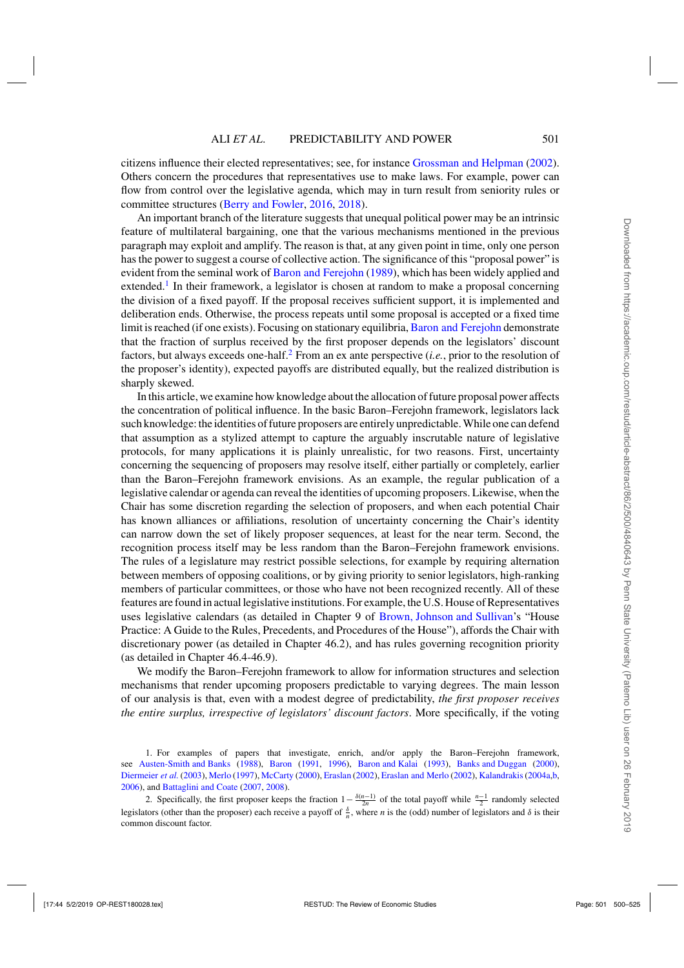citizens influence their elected representatives; see, for instance [Grossman and Helpman](#page-25-0) [\(2002](#page-25-0)). Others concern the procedures that representatives use to make laws. For example, power can flow from control over the legislative agenda, which may in turn result from seniority rules or committee structures [\(Berry and Fowler,](#page-24-0) [2016](#page-24-0), [2018](#page-25-0)).

An important branch of the literature suggests that unequal political power may be an intrinsic feature of multilateral bargaining, one that the various mechanisms mentioned in the previous paragraph may exploit and amplify. The reason is that, at any given point in time, only one person has the power to suggest a course of collective action. The significance of this "proposal power" is evident from the seminal work of [Baron and Ferejohn](#page-24-0) [\(1989](#page-24-0)), which has been widely applied and extended.<sup>1</sup> In their framework, a legislator is chosen at random to make a proposal concerning the division of a fixed payoff. If the proposal receives sufficient support, it is implemented and deliberation ends. Otherwise, the process repeats until some proposal is accepted or a fixed time limit is reached (if one exists). Focusing on stationary equilibria, [Baron and Ferejohn](#page-24-0) demonstrate that the fraction of surplus received by the first proposer depends on the legislators' discount factors, but always exceeds one-half.<sup>2</sup> From an ex ante perspective (*i.e.*, prior to the resolution of the proposer's identity), expected payoffs are distributed equally, but the realized distribution is sharply skewed.

In this article, we examine how knowledge about the allocation of future proposal power affects the concentration of political influence. In the basic Baron–Ferejohn framework, legislators lack such knowledge: the identities of future proposers are entirely unpredictable. While one can defend that assumption as a stylized attempt to capture the arguably inscrutable nature of legislative protocols, for many applications it is plainly unrealistic, for two reasons. First, uncertainty concerning the sequencing of proposers may resolve itself, either partially or completely, earlier than the Baron–Ferejohn framework envisions. As an example, the regular publication of a legislative calendar or agenda can reveal the identities of upcoming proposers. Likewise, when the Chair has some discretion regarding the selection of proposers, and when each potential Chair has known alliances or affiliations, resolution of uncertainty concerning the Chair's identity can narrow down the set of likely proposer sequences, at least for the near term. Second, the recognition process itself may be less random than the Baron–Ferejohn framework envisions. The rules of a legislature may restrict possible selections, for example by requiring alternation between members of opposing coalitions, or by giving priority to senior legislators, high-ranking members of particular committees, or those who have not been recognized recently. All of these features are found in actual legislative institutions. For example, the U.S. House of Representatives uses legislative calendars (as detailed in Chapter 9 of [Brown, Johnson and Sullivan'](#page-25-0)s "House Practice: A Guide to the Rules, Precedents, and Procedures of the House"), affords the Chair with discretionary power (as detailed in Chapter 46.2), and has rules governing recognition priority (as detailed in Chapter 46.4-46.9).

We modify the Baron–Ferejohn framework to allow for information structures and selection mechanisms that render upcoming proposers predictable to varying degrees. The main lesson of our analysis is that, even with a modest degree of predictability, *the first proposer receives the entire surplus, irrespective of legislators' discount factors*. More specifically, if the voting

<sup>1.</sup> For examples of papers that investigate, enrich, and/or apply the Baron–Ferejohn framework, see [Austen-Smith and Banks](#page-24-0) [\(1988\)](#page-24-0), [Baron](#page-24-0) [\(1991](#page-24-0), [1996\)](#page-24-0), [Baron and Kalai](#page-24-0) [\(1993\)](#page-24-0), [Banks and Duggan](#page-24-0) [\(2000](#page-24-0)), [Diermeier](#page-25-0) *et al.* [\(2003\)](#page-25-0), [Merlo](#page-25-0) [\(1997](#page-25-0)), [McCarty](#page-25-0) [\(2000\)](#page-25-0), [Eraslan](#page-25-0) [\(2002\)](#page-25-0), [Eraslan and Merlo](#page-25-0) (2002), Kalandrakis (2004a,b, [2006\)](#page-25-0), and [Battaglini and Coate](#page-24-0) [\(2007,](#page-24-0) [2008\)](#page-24-0).

<sup>2.</sup> Specifically, the first proposer keeps the fraction  $1 - \frac{\delta(n-1)}{2n}$  of the total payoff while  $\frac{n-1}{2}$  randomly selected legislators (other than the proposer) each receive a payoff of  $\frac{\delta}{n}$ , where *n* is the (odd) number of legislators and  $\delta$  is their common discount factor.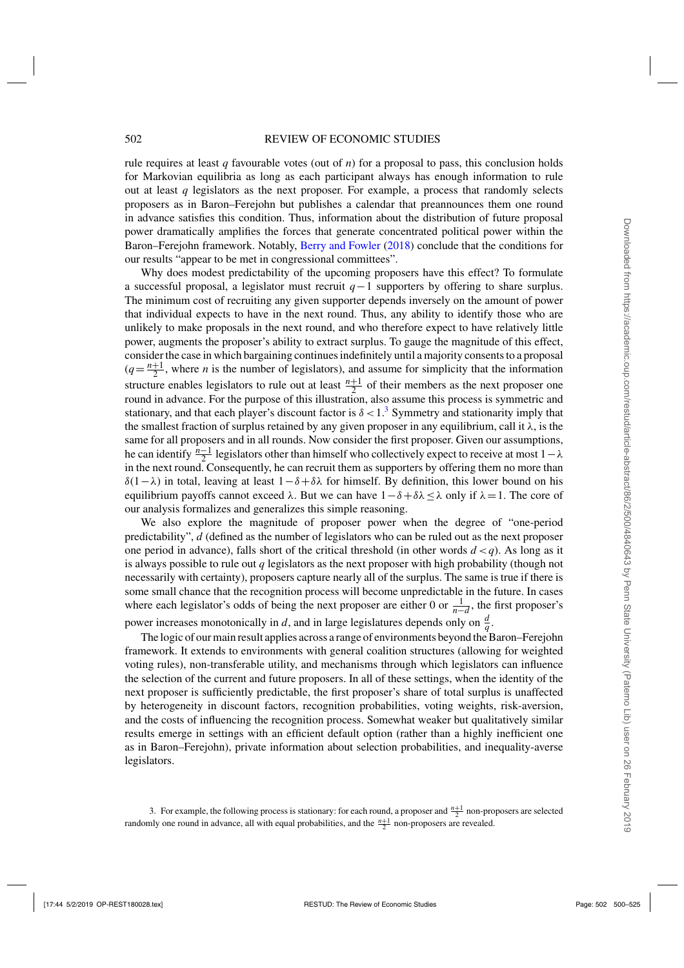rule requires at least  $q$  favourable votes (out of  $n$ ) for a proposal to pass, this conclusion holds for Markovian equilibria as long as each participant always has enough information to rule out at least *q* legislators as the next proposer. For example, a process that randomly selects proposers as in Baron–Ferejohn but publishes a calendar that preannounces them one round in advance satisfies this condition. Thus, information about the distribution of future proposal power dramatically amplifies the forces that generate concentrated political power within the Baron–Ferejohn framework. Notably, [Berry and Fowler](#page-25-0) [\(2018](#page-25-0)) conclude that the conditions for our results "appear to be met in congressional committees".

Why does modest predictability of the upcoming proposers have this effect? To formulate a successful proposal, a legislator must recruit *q*−1 supporters by offering to share surplus. The minimum cost of recruiting any given supporter depends inversely on the amount of power that individual expects to have in the next round. Thus, any ability to identify those who are unlikely to make proposals in the next round, and who therefore expect to have relatively little power, augments the proposer's ability to extract surplus. To gauge the magnitude of this effect, consider the case in which bargaining continues indefinitely until a majority consents to a proposal  $(q = \frac{n+1}{2})$ , where *n* is the number of legislators), and assume for simplicity that the information structure enables legislators to rule out at least  $\frac{n+1}{2}$  of their members as the next proposer one round in advance. For the purpose of this illustration, also assume this process is symmetric and stationary, and that each player's discount factor is  $\delta < 1.3$  Symmetry and stationarity imply that the smallest fraction of surplus retained by any given proposer in any equilibrium, call it  $\lambda$ , is the same for all proposers and in all rounds. Now consider the first proposer. Given our assumptions, he can identify  $\frac{n-1}{2}$  legislators other than himself who collectively expect to receive at most  $1-\lambda$ in the next round. Consequently, he can recruit them as supporters by offering them no more than δ(1−λ) in total, leaving at least  $1-\delta+\delta\lambda$  for himself. By definition, this lower bound on his equilibrium payoffs cannot exceed  $\lambda$ . But we can have  $1-\delta+\delta\lambda \leq \lambda$  only if  $\lambda = 1$ . The core of our analysis formalizes and generalizes this simple reasoning.

We also explore the magnitude of proposer power when the degree of "one-period predictability", *d* (defined as the number of legislators who can be ruled out as the next proposer one period in advance), falls short of the critical threshold (in other words *d* <*q*). As long as it is always possible to rule out *q* legislators as the next proposer with high probability (though not necessarily with certainty), proposers capture nearly all of the surplus. The same is true if there is some small chance that the recognition process will become unpredictable in the future. In cases where each legislator's odds of being the next proposer are either 0 or  $\frac{1}{n-d}$ , the first proposer's power increases monotonically in *d*, and in large legislatures depends only on  $\frac{d}{q}$ .

The logic of our main result applies across a range of environments beyond the Baron–Ferejohn framework. It extends to environments with general coalition structures (allowing for weighted voting rules), non-transferable utility, and mechanisms through which legislators can influence the selection of the current and future proposers. In all of these settings, when the identity of the next proposer is sufficiently predictable, the first proposer's share of total surplus is unaffected by heterogeneity in discount factors, recognition probabilities, voting weights, risk-aversion, and the costs of influencing the recognition process. Somewhat weaker but qualitatively similar results emerge in settings with an efficient default option (rather than a highly inefficient one as in Baron–Ferejohn), private information about selection probabilities, and inequality-averse legislators.

<sup>3.</sup> For example, the following process is stationary: for each round, a proposer and  $\frac{n+1}{2}$  non-proposers are selected randomly one round in advance, all with equal probabilities, and the  $\frac{n+1}{2}$  non-proposers are revealed.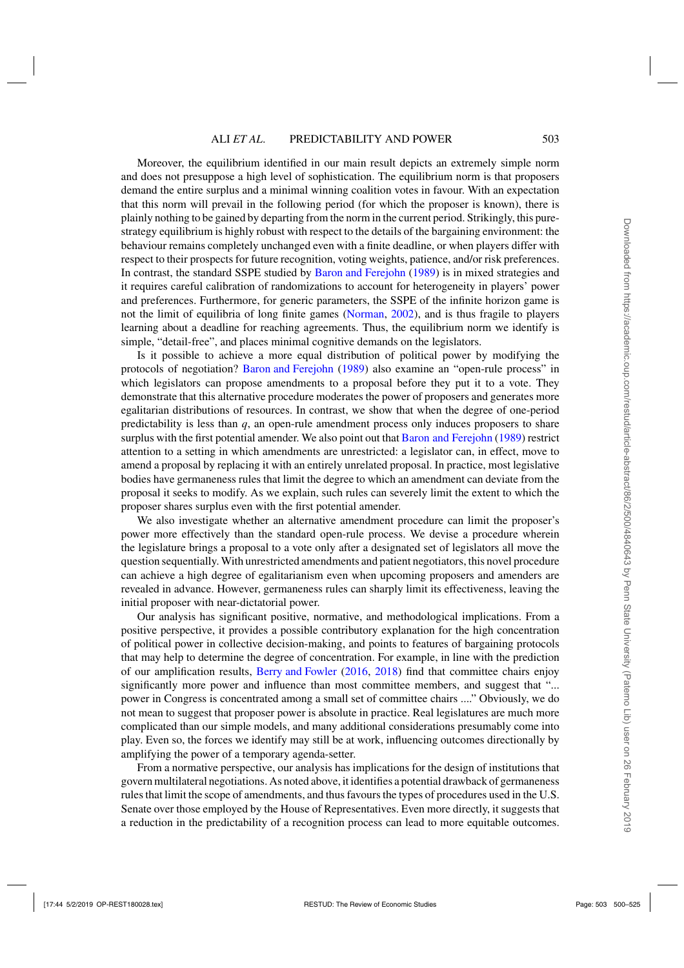Moreover, the equilibrium identified in our main result depicts an extremely simple norm and does not presuppose a high level of sophistication. The equilibrium norm is that proposers demand the entire surplus and a minimal winning coalition votes in favour. With an expectation that this norm will prevail in the following period (for which the proposer is known), there is plainly nothing to be gained by departing from the norm in the current period. Strikingly, this purestrategy equilibrium is highly robust with respect to the details of the bargaining environment: the behaviour remains completely unchanged even with a finite deadline, or when players differ with respect to their prospects for future recognition, voting weights, patience, and/or risk preferences. In contrast, the standard SSPE studied by [Baron and Ferejohn](#page-24-0) [\(1989](#page-24-0)) is in mixed strategies and it requires careful calibration of randomizations to account for heterogeneity in players' power and preferences. Furthermore, for generic parameters, the SSPE of the infinite horizon game is not the limit of equilibria of long finite games [\(Norman,](#page-25-0) [2002](#page-25-0)), and is thus fragile to players learning about a deadline for reaching agreements. Thus, the equilibrium norm we identify is simple, "detail-free", and places minimal cognitive demands on the legislators.

Is it possible to achieve a more equal distribution of political power by modifying the protocols of negotiation? [Baron and Ferejohn](#page-24-0) [\(1989](#page-24-0)) also examine an "open-rule process" in which legislators can propose amendments to a proposal before they put it to a vote. They demonstrate that this alternative procedure moderates the power of proposers and generates more egalitarian distributions of resources. In contrast, we show that when the degree of one-period predictability is less than *q*, an open-rule amendment process only induces proposers to share surplus with the first potential amender. We also point out that [Baron and Ferejohn](#page-24-0) [\(1989](#page-24-0)) restrict attention to a setting in which amendments are unrestricted: a legislator can, in effect, move to amend a proposal by replacing it with an entirely unrelated proposal. In practice, most legislative bodies have germaneness rules that limit the degree to which an amendment can deviate from the proposal it seeks to modify. As we explain, such rules can severely limit the extent to which the proposer shares surplus even with the first potential amender.

We also investigate whether an alternative amendment procedure can limit the proposer's power more effectively than the standard open-rule process. We devise a procedure wherein the legislature brings a proposal to a vote only after a designated set of legislators all move the question sequentially. With unrestricted amendments and patient negotiators, this novel procedure can achieve a high degree of egalitarianism even when upcoming proposers and amenders are revealed in advance. However, germaneness rules can sharply limit its effectiveness, leaving the initial proposer with near-dictatorial power.

Our analysis has significant positive, normative, and methodological implications. From a positive perspective, it provides a possible contributory explanation for the high concentration of political power in collective decision-making, and points to features of bargaining protocols that may help to determine the degree of concentration. For example, in line with the prediction of our amplification results, [Berry and Fowler](#page-24-0) [\(2016](#page-24-0), [2018](#page-25-0)) find that committee chairs enjoy significantly more power and influence than most committee members, and suggest that "... power in Congress is concentrated among a small set of committee chairs ...." Obviously, we do not mean to suggest that proposer power is absolute in practice. Real legislatures are much more complicated than our simple models, and many additional considerations presumably come into play. Even so, the forces we identify may still be at work, influencing outcomes directionally by amplifying the power of a temporary agenda-setter.

From a normative perspective, our analysis has implications for the design of institutions that govern multilateral negotiations. As noted above, it identifies a potential drawback of germaneness rules that limit the scope of amendments, and thus favours the types of procedures used in the U.S. Senate over those employed by the House of Representatives. Even more directly, it suggests that a reduction in the predictability of a recognition process can lead to more equitable outcomes.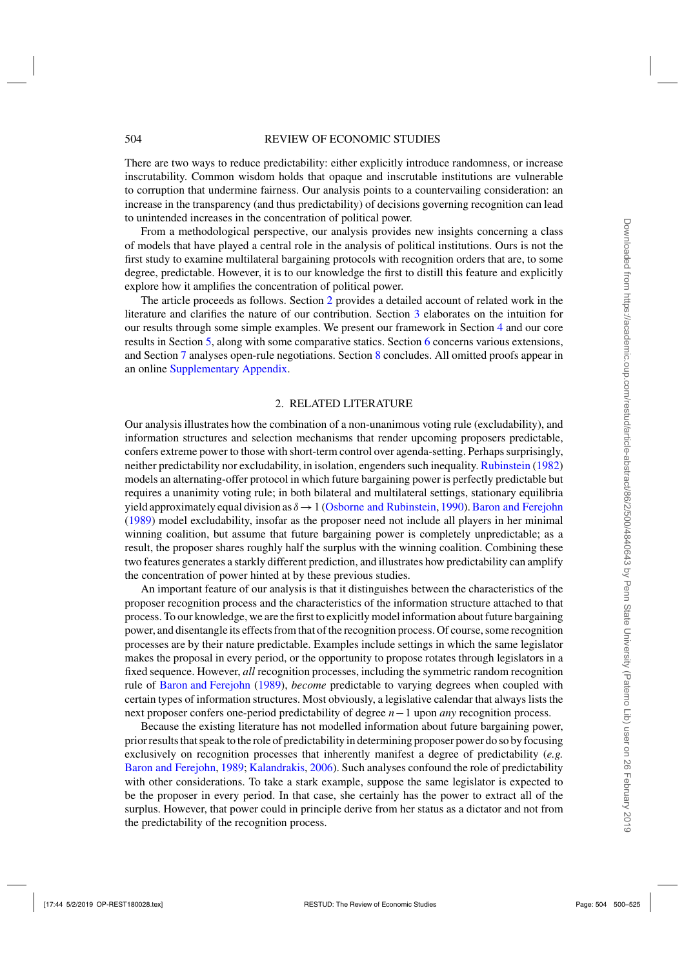There are two ways to reduce predictability: either explicitly introduce randomness, or increase inscrutability. Common wisdom holds that opaque and inscrutable institutions are vulnerable to corruption that undermine fairness. Our analysis points to a countervailing consideration: an increase in the transparency (and thus predictability) of decisions governing recognition can lead to unintended increases in the concentration of political power.

From a methodological perspective, our analysis provides new insights concerning a class of models that have played a central role in the analysis of political institutions. Ours is not the first study to examine multilateral bargaining protocols with recognition orders that are, to some degree, predictable. However, it is to our knowledge the first to distill this feature and explicitly explore how it amplifies the concentration of political power.

The article proceeds as follows. Section 2 provides a detailed account of related work in the literature and clarifies the nature of our contribution. Section [3](#page-6-0) elaborates on the intuition for our results through some simple examples. We present our framework in Section [4](#page-8-0) and our core results in Section [5,](#page-10-0) along with some comparative statics. Section [6](#page-17-0) concerns various extensions, and Section [7](#page-21-0) analyses open-rule negotiations. Section [8](#page-23-0) concludes. All omitted proofs appear in an online [Supplementary Appendix.](https://academic.oup.com/restud/article-lookup/doi/10.1093/restud/rdy013#supplementary-data)

#### 2. RELATED LITERATURE

Our analysis illustrates how the combination of a non-unanimous voting rule (excludability), and information structures and selection mechanisms that render upcoming proposers predictable, confers extreme power to those with short-term control over agenda-setting. Perhaps surprisingly, neither predictability nor excludability, in isolation, engenders such inequality. [Rubinstein](#page-25-0) [\(1982\)](#page-25-0) models an alternating-offer protocol in which future bargaining power is perfectly predictable but requires a unanimity voting rule; in both bilateral and multilateral settings, stationary equilibria yield approximately equal division as  $\delta \rightarrow 1$  [\(Osborne and Rubinstein,](#page-25-0) [1990\)](#page-25-0). [Baron and Ferejohn](#page-24-0) [\(1989](#page-24-0)) model excludability, insofar as the proposer need not include all players in her minimal winning coalition, but assume that future bargaining power is completely unpredictable; as a result, the proposer shares roughly half the surplus with the winning coalition. Combining these two features generates a starkly different prediction, and illustrates how predictability can amplify the concentration of power hinted at by these previous studies.

An important feature of our analysis is that it distinguishes between the characteristics of the proposer recognition process and the characteristics of the information structure attached to that process. To our knowledge, we are the first to explicitly model information about future bargaining power, and disentangle its effects from that of the recognition process. Of course, some recognition processes are by their nature predictable. Examples include settings in which the same legislator makes the proposal in every period, or the opportunity to propose rotates through legislators in a fixed sequence. However, *all* recognition processes, including the symmetric random recognition rule of [Baron and Ferejohn](#page-24-0) [\(1989\)](#page-24-0), *become* predictable to varying degrees when coupled with certain types of information structures. Most obviously, a legislative calendar that always lists the next proposer confers one-period predictability of degree *n*−1 upon *any* recognition process.

Because the existing literature has not modelled information about future bargaining power, prior results that speak to the role of predictability in determining proposer power do so by focusing exclusively on recognition processes that inherently manifest a degree of predictability (*e.g.* [Baron and Ferejohn,](#page-24-0) [1989](#page-24-0); [Kalandrakis](#page-25-0), [2006\)](#page-25-0). Such analyses confound the role of predictability with other considerations. To take a stark example, suppose the same legislator is expected to be the proposer in every period. In that case, she certainly has the power to extract all of the surplus. However, that power could in principle derive from her status as a dictator and not from the predictability of the recognition process.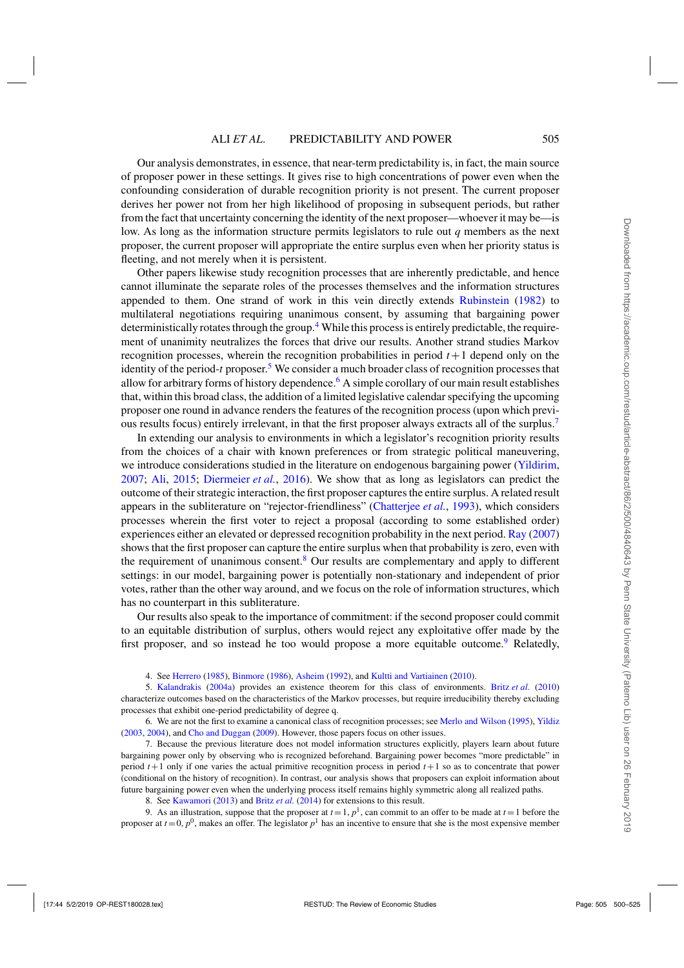Our analysis demonstrates, in essence, that near-term predictability is, in fact, the main source of proposer power in these settings. It gives rise to high concentrations of power even when the confounding consideration of durable recognition priority is not present. The current proposer derives her power not from her high likelihood of proposing in subsequent periods, but rather from the fact that uncertainty concerning the identity of the next proposer—whoever it may be—is low. As long as the information structure permits legislators to rule out *q* members as the next proposer, the current proposer will appropriate the entire surplus even when her priority status is fleeting, and not merely when it is persistent.

Other papers likewise study recognition processes that are inherently predictable, and hence cannot illuminate the separate roles of the processes themselves and the information structures appended to them. One strand of work in this vein directly extends [Rubinstein](#page-25-0) [\(1982](#page-25-0)) to multilateral negotiations requiring unanimous consent, by assuming that bargaining power deterministically rotates through the group.<sup>4</sup> While this process is entirely predictable, the requirement of unanimity neutralizes the forces that drive our results. Another strand studies Markov recognition processes, wherein the recognition probabilities in period  $t+1$  depend only on the identity of the period-*t* proposer.<sup>5</sup> We consider a much broader class of recognition processes that allow for arbitrary forms of history dependence.<sup>6</sup> A simple corollary of our main result establishes that, within this broad class, the addition of a limited legislative calendar specifying the upcoming proposer one round in advance renders the features of the recognition process (upon which previous results focus) entirely irrelevant, in that the first proposer always extracts all of the surplus.<sup>7</sup>

In extending our analysis to environments in which a legislator's recognition priority results from the choices of a chair with known preferences or from strategic political maneuvering, we introduce considerations studied in the literature on endogenous bargaining power [\(Yildirim](#page-25-0), [2007](#page-25-0); [Ali,](#page-24-0) [2015;](#page-24-0) [Diermeier](#page-25-0) *et al.*, [2016](#page-25-0)). We show that as long as legislators can predict the outcome of their strategic interaction, the first proposer captures the entire surplus. A related result appears in the subliterature on "rejector-friendliness" [\(Chatterjee](#page-25-0) *et al.*, [1993](#page-25-0)), which considers processes wherein the first voter to reject a proposal (according to some established order) experiences either an elevated or depressed recognition probability in the next period. [Ray](#page-25-0) [\(2007\)](#page-25-0) shows that the first proposer can capture the entire surplus when that probability is zero, even with the requirement of unanimous consent.<sup>8</sup> Our results are complementary and apply to different settings: in our model, bargaining power is potentially non-stationary and independent of prior votes, rather than the other way around, and we focus on the role of information structures, which has no counterpart in this subliterature.

Our results also speak to the importance of commitment: if the second proposer could commit to an equitable distribution of surplus, others would reject any exploitative offer made by the first proposer, and so instead he too would propose a more equitable outcome.<sup>9</sup> Relatedly,

4. See [Herrero](#page-25-0) [\(1985\)](#page-25-0), [Binmore](#page-25-0) [\(1986\)](#page-25-0), [Asheim](#page-24-0) [\(1992\)](#page-24-0), and [Kultti and Vartiainen](#page-25-0) [\(2010](#page-25-0)).

5. [Kalandrakis](#page-25-0) [\(2004a\)](#page-25-0) provides an existence theorem for this class of environments. [Britz](#page-25-0) *et al.* [\(2010](#page-25-0)) characterize outcomes based on the characteristics of the Markov processes, but require irreducibility thereby excluding processes that exhibit one-period predictability of degree q.

6. We are not the first to examine a canonical class of recognition processes; see [Merlo and Wilson](#page-25-0) [\(1995](#page-25-0)), [Yildiz](#page-25-0) [\(2003](#page-25-0), [2004](#page-25-0)), and [Cho and Duggan](#page-25-0) [\(2009\)](#page-25-0). However, those papers focus on other issues.

7. Because the previous literature does not model information structures explicitly, players learn about future bargaining power only by observing who is recognized beforehand. Bargaining power becomes "more predictable" in period  $t+1$  only if one varies the actual primitive recognition process in period  $t+1$  so as to concentrate that power (conditional on the history of recognition). In contrast, our analysis shows that proposers can exploit information about future bargaining power even when the underlying process itself remains highly symmetric along all realized paths.

8. See [Kawamori](#page-25-0) [\(2013](#page-25-0)) and [Britz](#page-25-0) *et al.* [\(2014\)](#page-25-0) for extensions to this result.

9. As an illustration, suppose that the proposer at  $t = 1$ ,  $p<sup>1</sup>$ , can commit to an offer to be made at  $t = 1$  before the proposer at  $t = 0$ ,  $p^0$ , makes an offer. The legislator  $p^1$  has an incentive to ensure that she is the most expensive member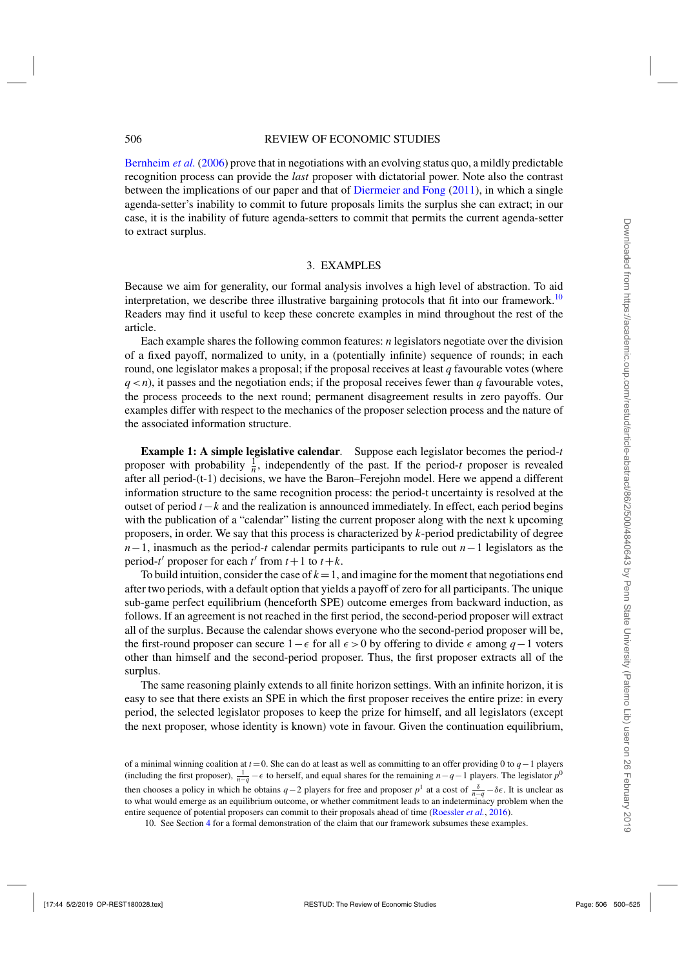<span id="page-6-0"></span>[Bernheim](#page-24-0) *et al.* [\(2006\)](#page-24-0) prove that in negotiations with an evolving status quo, a mildly predictable recognition process can provide the *last* proposer with dictatorial power. Note also the contrast between the implications of our paper and that of [Diermeier and Fong](#page-25-0) [\(2011\)](#page-25-0), in which a single agenda-setter's inability to commit to future proposals limits the surplus she can extract; in our case, it is the inability of future agenda-setters to commit that permits the current agenda-setter to extract surplus.

#### 3. EXAMPLES

Because we aim for generality, our formal analysis involves a high level of abstraction. To aid interpretation, we describe three illustrative bargaining protocols that fit into our framework.<sup>10</sup> Readers may find it useful to keep these concrete examples in mind throughout the rest of the article.

Each example shares the following common features: *n* legislators negotiate over the division of a fixed payoff, normalized to unity, in a (potentially infinite) sequence of rounds; in each round, one legislator makes a proposal; if the proposal receives at least *q* favourable votes (where  $q < n$ ), it passes and the negotiation ends; if the proposal receives fewer than *q* favourable votes, the process proceeds to the next round; permanent disagreement results in zero payoffs. Our examples differ with respect to the mechanics of the proposer selection process and the nature of the associated information structure.

**Example 1: A simple legislative calendar***.* Suppose each legislator becomes the period-*t* proposer with probability  $\frac{1}{n}$ , independently of the past. If the period-*t* proposer is revealed after all period-(t-1) decisions, we have the Baron–Ferejohn model. Here we append a different information structure to the same recognition process: the period-t uncertainty is resolved at the outset of period *t*−*k* and the realization is announced immediately. In effect, each period begins with the publication of a "calendar" listing the current proposer along with the next k upcoming proposers, in order. We say that this process is characterized by *k*-period predictability of degree *n*−1, inasmuch as the period-*t* calendar permits participants to rule out *n*−1 legislators as the period-*t*<sup> $\prime$ </sup> proposer for each *t*<sup> $\prime$ </sup> from *t*+1 to *t*+*k*.

To build intuition, consider the case of  $k = 1$ , and imagine for the moment that negotiations end after two periods, with a default option that yields a payoff of zero for all participants. The unique sub-game perfect equilibrium (henceforth SPE) outcome emerges from backward induction, as follows. If an agreement is not reached in the first period, the second-period proposer will extract all of the surplus. Because the calendar shows everyone who the second-period proposer will be, the first-round proposer can secure  $1 - \epsilon$  for all  $\epsilon > 0$  by offering to divide  $\epsilon$  among  $q-1$  voters other than himself and the second-period proposer. Thus, the first proposer extracts all of the surplus.

The same reasoning plainly extends to all finite horizon settings. With an infinite horizon, it is easy to see that there exists an SPE in which the first proposer receives the entire prize: in every period, the selected legislator proposes to keep the prize for himself, and all legislators (except the next proposer, whose identity is known) vote in favour. Given the continuation equilibrium,

of a minimal winning coalition at *t* =0. She can do at least as well as committing to an offer providing 0 to *q*−1 players (including the first proposer),  $\frac{1}{n-q} - \epsilon$  to herself, and equal shares for the remaining *n*−*q*−1 players. The legislator *p*<sup>0</sup> then chooses a policy in which he obtains *q*−2 players for free and proposer  $p<sup>1</sup>$  at a cost of  $\frac{\delta}{n-q} - \delta \epsilon$ . It is unclear as to what would emerge as an equilibrium outcome, or whether commitment leads to an indeterminacy problem when the entire sequence of potential proposers can commit to their proposals ahead of time [\(Roessler](#page-25-0) *et al.*, [2016\)](#page-25-0).

10. See Section [4](#page-8-0) for a formal demonstration of the claim that our framework subsumes these examples.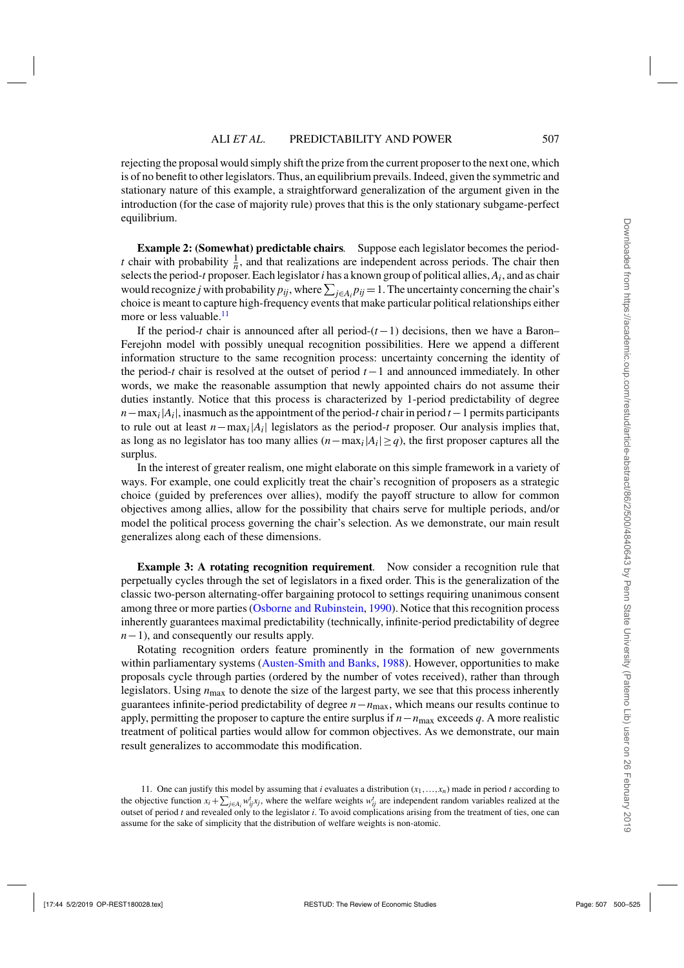rejecting the proposal would simply shift the prize from the current proposer to the next one, which is of no benefit to other legislators. Thus, an equilibrium prevails. Indeed, given the symmetric and stationary nature of this example, a straightforward generalization of the argument given in the introduction (for the case of majority rule) proves that this is the only stationary subgame-perfect equilibrium.

**Example 2: (Somewhat) predictable chairs***.* Suppose each legislator becomes the period*t* chair with probability  $\frac{1}{n}$ , and that realizations are independent across periods. The chair then selects the period-*t* proposer. Each legislator*i* has a known group of political allies, *Ai*, and as chair would recognize *j* with probability  $p_{ij}$ , where  $\sum_{j \in A_i} p_{ij} = 1$ . The uncertainty concerning the chair's choice is meant to capture high-frequency events that make particular political relationships either more or less valuable. $^{11}$ 

If the period-*t* chair is announced after all period-(*t*−1) decisions, then we have a Baron– Ferejohn model with possibly unequal recognition possibilities. Here we append a different information structure to the same recognition process: uncertainty concerning the identity of the period-*t* chair is resolved at the outset of period *t*−1 and announced immediately. In other words, we make the reasonable assumption that newly appointed chairs do not assume their duties instantly. Notice that this process is characterized by 1-period predictability of degree  $n - \max_i |A_i|$ , inasmuch as the appointment of the period-*t* chair in period  $t-1$  permits participants to rule out at least  $n - \max_i |A_i|$  legislators as the period-*t* proposer. Our analysis implies that, as long as no legislator has too many allies  $(n - max<sub>i</sub>|A<sub>i</sub>| \geq q)$ , the first proposer captures all the surplus.

In the interest of greater realism, one might elaborate on this simple framework in a variety of ways. For example, one could explicitly treat the chair's recognition of proposers as a strategic choice (guided by preferences over allies), modify the payoff structure to allow for common objectives among allies, allow for the possibility that chairs serve for multiple periods, and/or model the political process governing the chair's selection. As we demonstrate, our main result generalizes along each of these dimensions.

**Example 3: A rotating recognition requirement.** Now consider a recognition rule that perpetually cycles through the set of legislators in a fixed order. This is the generalization of the classic two-person alternating-offer bargaining protocol to settings requiring unanimous consent among three or more parties [\(Osborne and Rubinstein,](#page-25-0) [1990\)](#page-25-0). Notice that this recognition process inherently guarantees maximal predictability (technically, infinite-period predictability of degree *n*−1), and consequently our results apply.

Rotating recognition orders feature prominently in the formation of new governments within parliamentary systems [\(Austen-Smith and Banks,](#page-24-0) [1988](#page-24-0)). However, opportunities to make proposals cycle through parties (ordered by the number of votes received), rather than through legislators. Using *n*max to denote the size of the largest party, we see that this process inherently guarantees infinite-period predictability of degree *n*−*n*max, which means our results continue to apply, permitting the proposer to capture the entire surplus if *n*−*n*max exceeds *q*. A more realistic treatment of political parties would allow for common objectives. As we demonstrate, our main result generalizes to accommodate this modification.

<sup>11.</sup> One can justify this model by assuming that *i* evaluates a distribution  $(x_1, \ldots, x_n)$  made in period *t* according to the objective function  $x_i + \sum_{j \in A_i} w_{ij}^t x_j$ , where the welfare weights  $w_{ij}^t$  are independent random variables realized at the outset of period *t* and revealed only to the legislator *i*. To avoid complications arising from the treatment of ties, one can assume for the sake of simplicity that the distribution of welfare weights is non-atomic.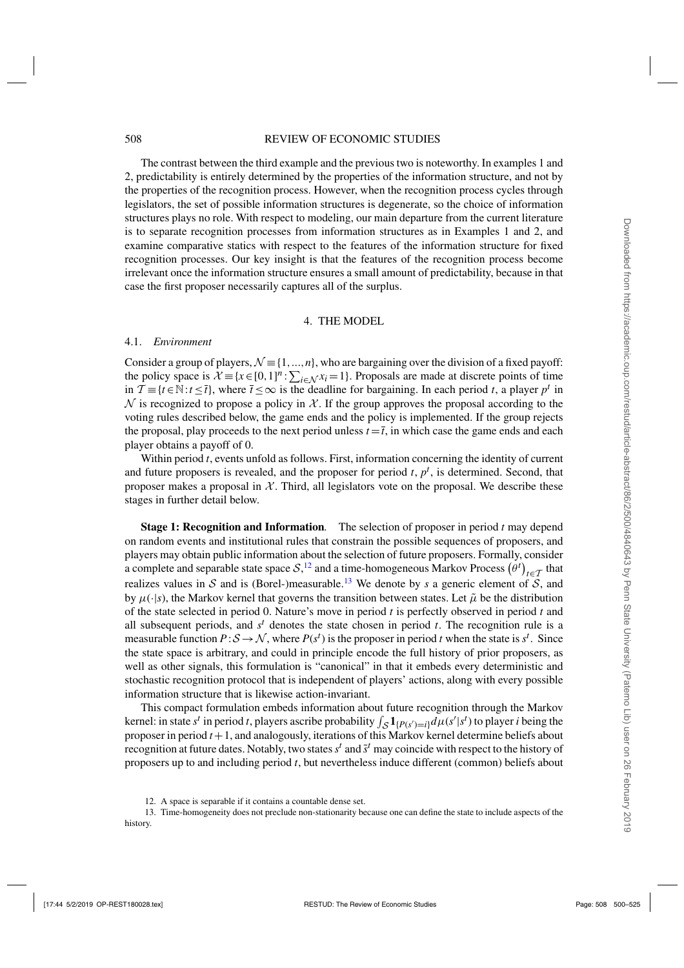#### <span id="page-8-0"></span>508 REVIEW OF ECONOMIC STUDIES

The contrast between the third example and the previous two is noteworthy. In examples 1 and 2, predictability is entirely determined by the properties of the information structure, and not by the properties of the recognition process. However, when the recognition process cycles through legislators, the set of possible information structures is degenerate, so the choice of information structures plays no role. With respect to modeling, our main departure from the current literature is to separate recognition processes from information structures as in Examples 1 and 2, and examine comparative statics with respect to the features of the information structure for fixed recognition processes. Our key insight is that the features of the recognition process become irrelevant once the information structure ensures a small amount of predictability, because in that case the first proposer necessarily captures all of the surplus.

#### 4. THE MODEL

#### 4.1. *Environment*

Consider a group of players,  $\mathcal{N} \equiv \{1, ..., n\}$ , who are bargaining over the division of a fixed payoff: the policy space is  $\mathcal{X} = \{x \in [0,1]^n : \sum_{i \in \mathcal{N}} x_i = 1\}$ . Proposals are made at discrete points of time in  $\mathcal{T}$  ≡ {*t* ∈ N:*t* ≤ *t*}, where  $\bar{t}$  ≤ ∞ is the deadline for bargaining. In each period *t*, a player  $p^t$  in  $\mathcal N$  is recognized to propose a policy in  $\mathcal X$ . If the group approves the proposal according to the voting rules described below, the game ends and the policy is implemented. If the group rejects the proposal, play proceeds to the next period unless  $t = \overline{t}$ , in which case the game ends and each player obtains a payoff of 0.

Within period *t*, events unfold as follows. First, information concerning the identity of current and future proposers is revealed, and the proposer for period  $t$ ,  $p<sup>t</sup>$ , is determined. Second, that proposer makes a proposal in  $X$ . Third, all legislators vote on the proposal. We describe these stages in further detail below.

**Stage 1: Recognition and Information***.* The selection of proposer in period *t* may depend on random events and institutional rules that constrain the possible sequences of proposers, and players may obtain public information about the selection of future proposers. Formally, consider a complete and separable state space  $S$ ,<sup>12</sup> and a time-homogeneous Markov Process  $(\theta^t)_{t \in \mathcal{T}}$  that realizes values in  $S$  and is (Borel-)measurable.<sup>13</sup> We denote by *s* a generic element of  $S$ , and by  $\mu(\cdot|s)$ , the Markov kernel that governs the transition between states. Let  $\tilde{\mu}$  be the distribution of the state selected in period 0. Nature's move in period *t* is perfectly observed in period *t* and all subsequent periods, and *s<sup>t</sup>* denotes the state chosen in period *t*. The recognition rule is a measurable function  $P: S \to N$ , where  $P(s^t)$  is the proposer in period *t* when the state is  $s^t$ . Since the state space is arbitrary, and could in principle encode the full history of prior proposers, as well as other signals, this formulation is "canonical" in that it embeds every deterministic and stochastic recognition protocol that is independent of players' actions, along with every possible information structure that is likewise action-invariant.

This compact formulation embeds information about future recognition through the Markov kernel: in state *s<sup>t</sup>* in period *t*, players ascribe probability  $\int_{S} \mathbf{1}_{\{P(s')=i\}} d\mu(s'|s')$  to player *i* being the proposer in period *t*+1, and analogously, iterations of this Markov kernel determine beliefs about recognition at future dates. Notably, two states  $s<sup>t</sup>$  and  $\tilde{s}<sup>t</sup>$  may coincide with respect to the history of proposers up to and including period *t*, but nevertheless induce different (common) beliefs about

<sup>12.</sup> A space is separable if it contains a countable dense set.

<sup>13.</sup> Time-homogeneity does not preclude non-stationarity because one can define the state to include aspects of the history.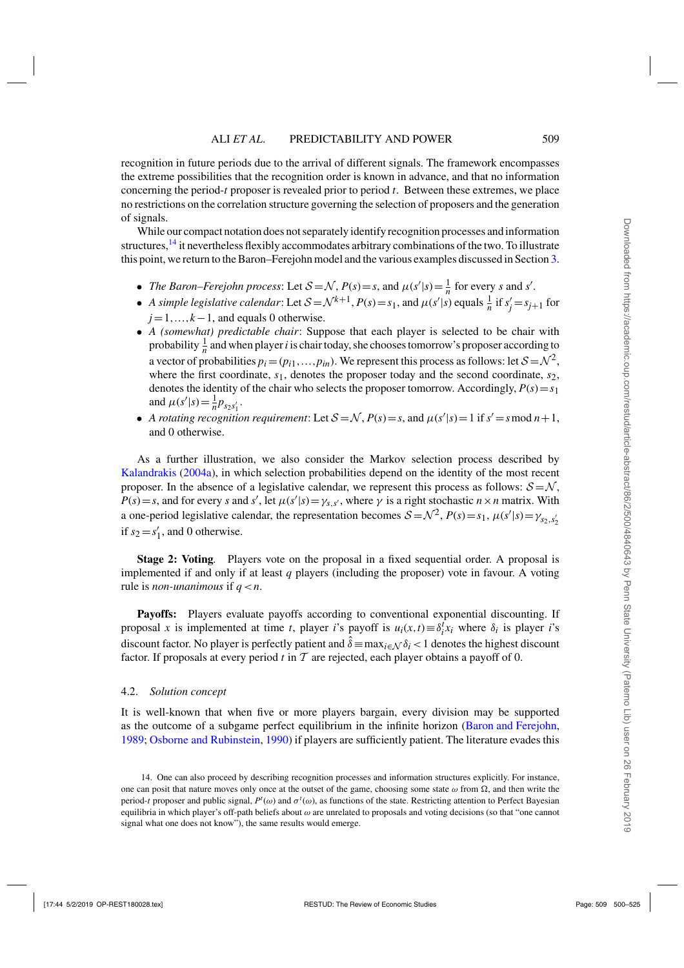recognition in future periods due to the arrival of different signals. The framework encompasses the extreme possibilities that the recognition order is known in advance, and that no information concerning the period-*t* proposer is revealed prior to period *t*. Between these extremes, we place no restrictions on the correlation structure governing the selection of proposers and the generation of signals.

While our compact notation does not separately identify recognition processes and information structures,<sup>14</sup> it nevertheless flexibly accommodates arbitrary combinations of the two. To illustrate this point, we return to the Baron–Ferejohn model and the various examples discussed in Section [3.](#page-6-0)

- *The Baron–Ferejohn process:* Let  $S = \mathcal{N}$ ,  $P(s) = s$ , and  $\mu(s'|s) = \frac{1}{n}$  for every *s* and *s'*.
- *A simple legislative calendar*: Let  $S = \mathcal{N}^{k+1}$ ,  $P(s) = s_1$ , and  $\mu(s'|s)$  equals  $\frac{1}{n}$  if  $s'_j = s_{j+1}$  for *j*=1,...,*k*−1, and equals 0 otherwise.
- *A (somewhat) predictable chair*: Suppose that each player is selected to be chair with probability  $\frac{1}{n}$  and when player *i* is chair today, she chooses tomorrow's proposer according to a vector of probabilities  $p_i = (p_{i1},...,p_{in})$ . We represent this process as follows: let  $S = \mathcal{N}^2$ , where the first coordinate,  $s_1$ , denotes the proposer today and the second coordinate,  $s_2$ , denotes the identity of the chair who selects the proposer tomorrow. Accordingly,  $P(s) = s_1$ and  $\mu(s'|s) = \frac{1}{n} p_{s_2 s'_1}$ .
- *A rotating recognition requirement*: Let  $S = \mathcal{N}$ ,  $P(s) = s$ , and  $\mu(s'|s) = 1$  if  $s' = s \mod n + 1$ , and 0 otherwise.

As a further illustration, we also consider the Markov selection process described by [Kalandrakis](#page-25-0) [\(2004a](#page-25-0)), in which selection probabilities depend on the identity of the most recent proposer. In the absence of a legislative calendar, we represent this process as follows:  $S = N$ ,  $P(s) = s$ , and for every *s* and *s*<sup>'</sup>, let  $\mu(s'|s) = \gamma_{s,s'}$ , where  $\gamma$  is a right stochastic  $n \times n$  matrix. With a one-period legislative calendar, the representation becomes  $S = \mathcal{N}^2$ ,  $P(s) = s_1$ ,  $\mu(s'|s) = \gamma_{s_2, s'_2}$ if  $s_2 = s'_1$ , and 0 otherwise.

**Stage 2: Voting***.* Players vote on the proposal in a fixed sequential order. A proposal is implemented if and only if at least *q* players (including the proposer) vote in favour. A voting rule is *non-unanimous* if *q*<*n*.

**Payoffs:** Players evaluate payoffs according to conventional exponential discounting. If proposal *x* is implemented at time *t*, player *i*'s payoff is  $u_i(x,t) \equiv \delta_i^t x_i$  where  $\delta_i$  is player *i*'s discount factor. No player is perfectly patient and  $\hat{\delta}$  ≡ max<sub>*i*∈N</sub>  $\delta$ *i* < 1 denotes the highest discount factor. If proposals at every period *t* in T are rejected, each player obtains a payoff of 0.

#### 4.2. *Solution concept*

It is well-known that when five or more players bargain, every division may be supported as the outcome of a subgame perfect equilibrium in the infinite horizon [\(Baron and Ferejohn](#page-24-0), [1989](#page-24-0); [Osborne and Rubinstein,](#page-25-0) [1990](#page-25-0)) if players are sufficiently patient. The literature evades this

<sup>14.</sup> One can also proceed by describing recognition processes and information structures explicitly. For instance, one can posit that nature moves only once at the outset of the game, choosing some state  $\omega$  from  $\Omega$ , and then write the period-*t* proposer and public signal,  $P^t(\omega)$  and  $\sigma^t(\omega)$ , as functions of the state. Restricting attention to Perfect Bayesian equilibria in which player's off-path beliefs about  $\omega$  are unrelated to proposals and voting decisions (so that "one cannot signal what one does not know"), the same results would emerge.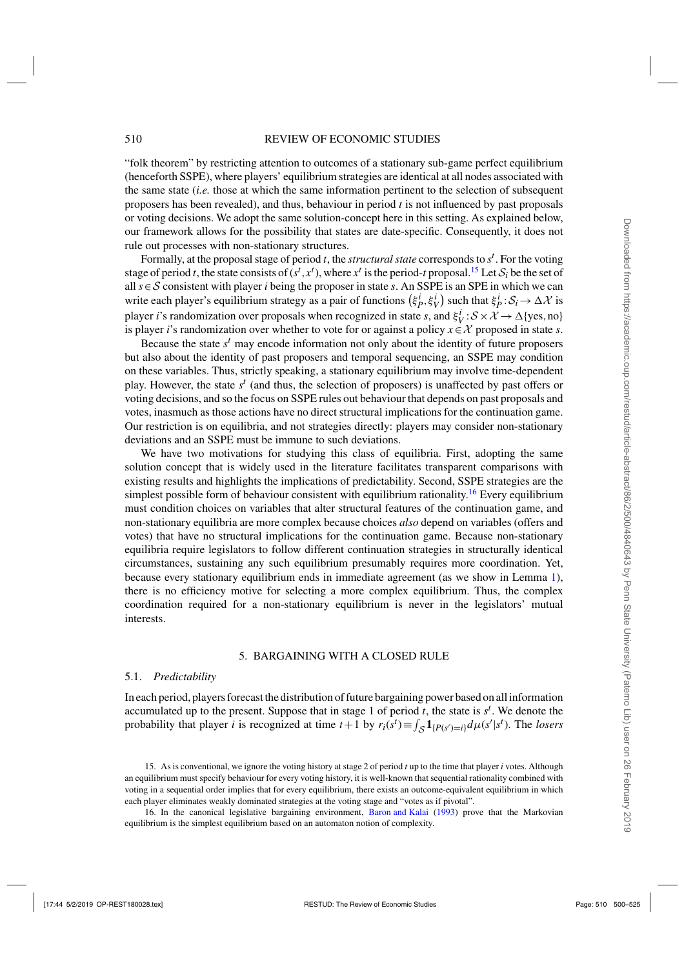<span id="page-10-0"></span>"folk theorem" by restricting attention to outcomes of a stationary sub-game perfect equilibrium (henceforth SSPE), where players' equilibrium strategies are identical at all nodes associated with the same state (*i.e.* those at which the same information pertinent to the selection of subsequent proposers has been revealed), and thus, behaviour in period *t* is not influenced by past proposals or voting decisions. We adopt the same solution-concept here in this setting. As explained below, our framework allows for the possibility that states are date-specific. Consequently, it does not rule out processes with non-stationary structures.

Formally, at the proposal stage of period *t*, the *structural state* corresponds to *s<sup>t</sup>* . For the voting stage of period *t*, the state consists of  $(s^t, x^t)$ , where  $x^t$  is the period-*t* proposal.<sup>15</sup> Let  $S_i$  be the set of all *s*∈S consistent with player *i* being the proposer in state *s*. An SSPE is an SPE in which we can write each player's equilibrium strategy as a pair of functions  $(\xi_p^i, \xi_v^i)$  such that  $\xi_p^i$ :  $S_i \to \Delta \mathcal{X}$  is player *i*'s randomization over proposals when recognized in state *s*, and  $\xi_V^i$ :  $S \times \mathcal{X} \to \Delta$ {yes,no} is player *i*'s randomization over whether to vote for or against a policy  $x \in \mathcal{X}$  proposed in state *s*.

Because the state  $s<sup>t</sup>$  may encode information not only about the identity of future proposers but also about the identity of past proposers and temporal sequencing, an SSPE may condition on these variables. Thus, strictly speaking, a stationary equilibrium may involve time-dependent play. However, the state  $s^t$  (and thus, the selection of proposers) is unaffected by past offers or voting decisions, and so the focus on SSPE rules out behaviour that depends on past proposals and votes, inasmuch as those actions have no direct structural implications for the continuation game. Our restriction is on equilibria, and not strategies directly: players may consider non-stationary deviations and an SSPE must be immune to such deviations.

We have two motivations for studying this class of equilibria. First, adopting the same solution concept that is widely used in the literature facilitates transparent comparisons with existing results and highlights the implications of predictability. Second, SSPE strategies are the simplest possible form of behaviour consistent with equilibrium rationality.<sup>16</sup> Every equilibrium must condition choices on variables that alter structural features of the continuation game, and non-stationary equilibria are more complex because choices *also* depend on variables (offers and votes) that have no structural implications for the continuation game. Because non-stationary equilibria require legislators to follow different continuation strategies in structurally identical circumstances, sustaining any such equilibrium presumably requires more coordination. Yet, because every stationary equilibrium ends in immediate agreement (as we show in Lemma [1\)](#page-13-0), there is no efficiency motive for selecting a more complex equilibrium. Thus, the complex coordination required for a non-stationary equilibrium is never in the legislators' mutual interests.

#### 5. BARGAINING WITH A CLOSED RULE

#### 5.1. *Predictability*

In each period, players forecast the distribution of future bargaining power based on all information accumulated up to the present. Suppose that in stage 1 of period  $t$ , the state is  $s^t$ . We denote the probability that player *i* is recognized at time  $t+1$  by  $r_i(s^t) \equiv \int_{S} \mathbf{1}_{\{P(s')=i\}} d\mu(s'|s^t)$ . The *losers* 

<sup>15.</sup> As is conventional, we ignore the voting history at stage 2 of period *t* up to the time that player *i* votes. Although an equilibrium must specify behaviour for every voting history, it is well-known that sequential rationality combined with voting in a sequential order implies that for every equilibrium, there exists an outcome-equivalent equilibrium in which each player eliminates weakly dominated strategies at the voting stage and "votes as if pivotal".

<sup>16.</sup> In the canonical legislative bargaining environment, [Baron and Kalai](#page-24-0) [\(1993](#page-24-0)) prove that the Markovian equilibrium is the simplest equilibrium based on an automaton notion of complexity.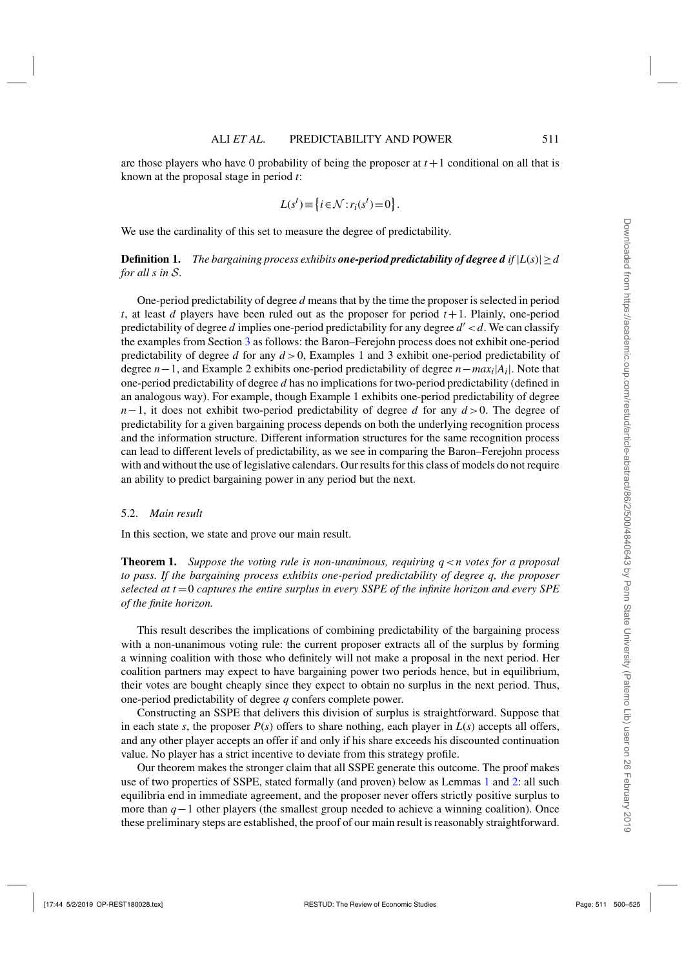<span id="page-11-0"></span>are those players who have 0 probability of being the proposer at  $t+1$  conditional on all that is known at the proposal stage in period *t*:

$$
L(st) \equiv \{i \in \mathcal{N} : r_i(s^t) = 0\}.
$$

We use the cardinality of this set to measure the degree of predictability.

**Definition 1.** *The bargaining process exhibits one-period predictability of degree d if*  $|L(s)| \geq d$ *for all s in* S*.*

One-period predictability of degree *d* means that by the time the proposer is selected in period *t*, at least *d* players have been ruled out as the proposer for period  $t+1$ . Plainly, one-period predictability of degree *d* implies one-period predictability for any degree *d* <*d*. We can classify the examples from Section [3](#page-6-0) as follows: the Baron–Ferejohn process does not exhibit one-period predictability of degree *d* for any *d* >0, Examples 1 and 3 exhibit one-period predictability of degree *n*−1, and Example 2 exhibits one-period predictability of degree *n*−*maxi*|*Ai*|. Note that one-period predictability of degree *d* has no implications for two-period predictability (defined in an analogous way). For example, though Example 1 exhibits one-period predictability of degree *n*−1, it does not exhibit two-period predictability of degree *d* for any *d* > 0. The degree of predictability for a given bargaining process depends on both the underlying recognition process and the information structure. Different information structures for the same recognition process can lead to different levels of predictability, as we see in comparing the Baron–Ferejohn process with and without the use of legislative calendars. Our results for this class of models do not require an ability to predict bargaining power in any period but the next.

#### 5.2. *Main result*

In this section, we state and prove our main result.

**Theorem 1.** *Suppose the voting rule is non-unanimous, requiring q*<*n votes for a proposal to pass. If the bargaining process exhibits one-period predictability of degree q, the proposer selected at t* =0 *captures the entire surplus in every SSPE of the infinite horizon and every SPE of the finite horizon.*

This result describes the implications of combining predictability of the bargaining process with a non-unanimous voting rule: the current proposer extracts all of the surplus by forming a winning coalition with those who definitely will not make a proposal in the next period. Her coalition partners may expect to have bargaining power two periods hence, but in equilibrium, their votes are bought cheaply since they expect to obtain no surplus in the next period. Thus, one-period predictability of degree *q* confers complete power.

Constructing an SSPE that delivers this division of surplus is straightforward. Suppose that in each state *s*, the proposer  $P(s)$  offers to share nothing, each player in  $L(s)$  accepts all offers, and any other player accepts an offer if and only if his share exceeds his discounted continuation value. No player has a strict incentive to deviate from this strategy profile.

Our theorem makes the stronger claim that all SSPE generate this outcome. The proof makes use of two properties of SSPE, stated formally (and proven) below as Lemmas [1](#page-13-0) and [2:](#page-13-0) all such equilibria end in immediate agreement, and the proposer never offers strictly positive surplus to more than *q*−1 other players (the smallest group needed to achieve a winning coalition). Once these preliminary steps are established, the proof of our main result is reasonably straightforward.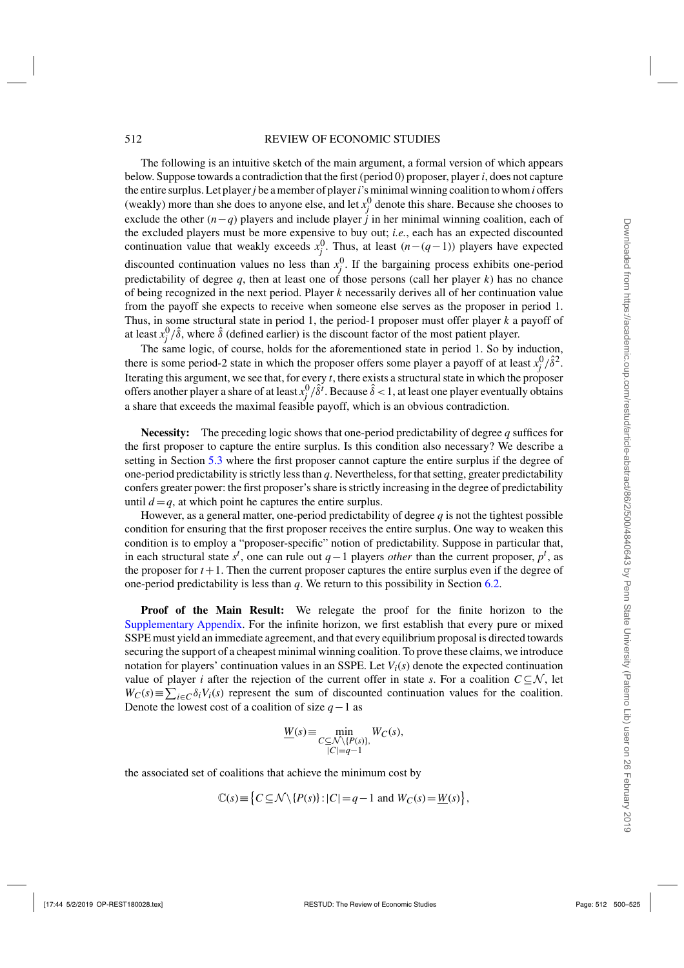#### 512 REVIEW OF ECONOMIC STUDIES

The following is an intuitive sketch of the main argument, a formal version of which appears below. Suppose towards a contradiction that the first (period 0) proposer, player *i*, does not capture the entire surplus. Let player*j* be a member of player*i*'s minimal winning coalition to whom*i* offers (weakly) more than she does to anyone else, and let  $x_j^0$  denote this share. Because she chooses to exclude the other  $(n-q)$  players and include player *j* in her minimal winning coalition, each of the excluded players must be more expensive to buy out; *i.e.*, each has an expected discounted continuation value that weakly exceeds  $x_j^0$ . Thus, at least  $(n-(q-1))$  players have expected discounted continuation values no less than  $x_j^0$ . If the bargaining process exhibits one-period predictability of degree  $q$ , then at least one of those persons (call her player  $k$ ) has no chance of being recognized in the next period. Player *k* necessarily derives all of her continuation value from the payoff she expects to receive when someone else serves as the proposer in period 1. Thus, in some structural state in period 1, the period-1 proposer must offer player *k* a payoff of at least  $x_j^0/\hat{\delta}$ , where  $\hat{\delta}$  (defined earlier) is the discount factor of the most patient player.

The same logic, of course, holds for the aforementioned state in period 1. So by induction, there is some period-2 state in which the proposer offers some player a payoff of at least  $x_j^0/\hat{\delta}^2$ . Iterating this argument, we see that, for every *t*, there exists a structural state in which the proposer offers another player a share of at least  $x_j^0/\hat{\delta}^t$ . Because  $\hat{\delta} < 1$ , at least one player eventually obtains a share that exceeds the maximal feasible payoff, which is an obvious contradiction.

**Necessity:** The preceding logic shows that one-period predictability of degree *q* suffices for the first proposer to capture the entire surplus. Is this condition also necessary? We describe a setting in Section [5.3](#page-14-0) where the first proposer cannot capture the entire surplus if the degree of one-period predictability is strictly less than *q*. Nevertheless, for that setting, greater predictability confers greater power: the first proposer's share is strictly increasing in the degree of predictability until  $d = q$ , at which point he captures the entire surplus.

However, as a general matter, one-period predictability of degree  $q$  is not the tightest possible condition for ensuring that the first proposer receives the entire surplus. One way to weaken this condition is to employ a "proposer-specific" notion of predictability. Suppose in particular that, in each structural state  $s^t$ , one can rule out  $q-1$  players *other* than the current proposer,  $p^t$ , as the proposer for  $t+1$ . Then the current proposer captures the entire surplus even if the degree of one-period predictability is less than *q*. We return to this possibility in Section [6.2.](#page-19-0)

**Proof of the Main Result:** We relegate the proof for the finite horizon to the [Supplementary Appendix.](https://academic.oup.com/restud/article-lookup/doi/10.1093/restud/rdy013#supplementary-data) For the infinite horizon, we first establish that every pure or mixed SSPE must yield an immediate agreement, and that every equilibrium proposal is directed towards securing the support of a cheapest minimal winning coalition. To prove these claims, we introduce notation for players' continuation values in an SSPE. Let  $V_i(s)$  denote the expected continuation value of player *i* after the rejection of the current offer in state *s*. For a coalition  $C \subseteq \mathcal{N}$ , let  $W_C(s) \equiv \sum_{i \in C} \delta_i V_i(s)$  represent the sum of discounted continuation values for the coalition. Denote the lowest cost of a coalition of size *q*−1 as

$$
\underline{W}(s) \equiv \min_{\substack{C \subseteq \mathcal{N} \setminus \{P(s)\}, \\ |C| = q - 1}} W_C(s),
$$

the associated set of coalitions that achieve the minimum cost by

$$
\mathbb{C}(s) \equiv \left\{ C \subseteq \mathcal{N} \setminus \{P(s)\} : |C| = q - 1 \text{ and } W_C(s) = \underline{W}(s) \right\},\
$$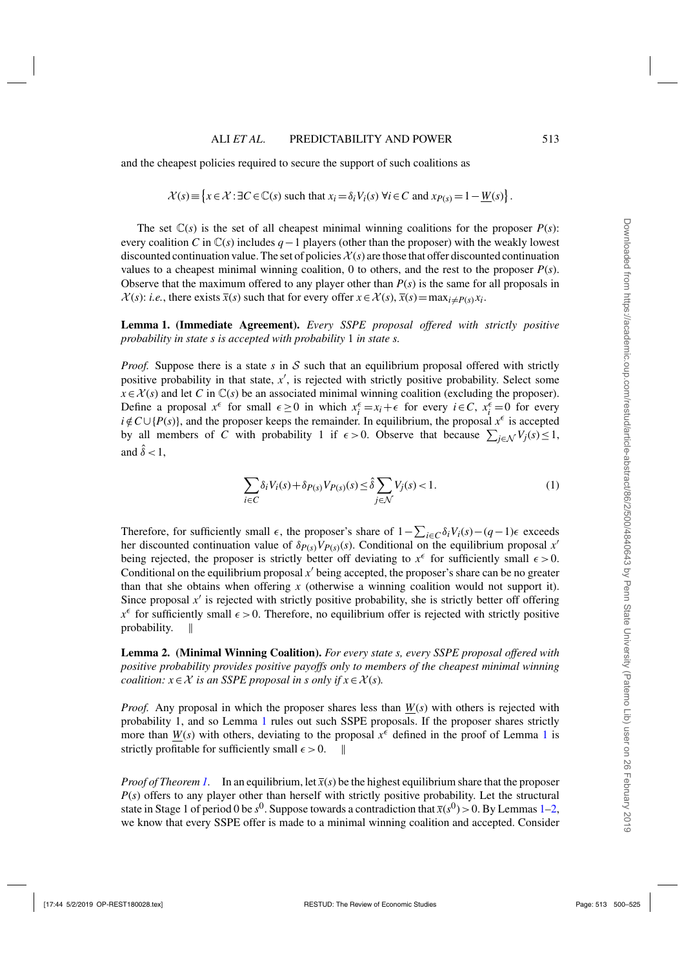<span id="page-13-0"></span>and the cheapest policies required to secure the support of such coalitions as

$$
\mathcal{X}(s) \equiv \left\{ x \in \mathcal{X} : \exists C \in \mathbb{C}(s) \text{ such that } x_i = \delta_i V_i(s) \ \forall i \in C \text{ and } x_{P(s)} = 1 - \underline{W}(s) \right\}.
$$

The set  $\mathbb{C}(s)$  is the set of all cheapest minimal winning coalitions for the proposer  $P(s)$ : every coalition *C* in C(*s*) includes *q*−1 players (other than the proposer) with the weakly lowest discounted continuation value. The set of policies  $\mathcal{X}(s)$  are those that offer discounted continuation values to a cheapest minimal winning coalition, 0 to others, and the rest to the proposer  $P(s)$ . Observe that the maximum offered to any player other than  $P(s)$  is the same for all proposals in  $\mathcal{X}(s)$ : *i.e.*, there exists  $\overline{x}(s)$  such that for every offer  $x \in \mathcal{X}(s)$ ,  $\overline{x}(s) = \max_{i \neq P(s)} x_i$ .

**Lemma 1. (Immediate Agreement).** *Every SSPE proposal offered with strictly positive probability in state s is accepted with probability* 1 *in state s.*

*Proof.* Suppose there is a state  $s$  in  $S$  such that an equilibrium proposal offered with strictly positive probability in that state, x', is rejected with strictly positive probability. Select some  $x \in \mathcal{X}(s)$  and let *C* in  $\mathbb{C}(s)$  be an associated minimal winning coalition (excluding the proposer). Define a proposal  $x^{\epsilon}$  for small  $\epsilon \ge 0$  in which  $x_i^{\epsilon} = x_i + \epsilon$  for every  $i \in C$ ,  $x_i^{\epsilon} = 0$  for every  $i \notin C \cup \{P(s)\}\$ , and the proposer keeps the remainder. In equilibrium, the proposal  $x^{\epsilon}$  is accepted by all members of *C* with probability 1 if  $\epsilon > 0$ . Observe that because  $\sum_{j \in \mathcal{N}} V_j(s) \leq 1$ , and  $\hat{\delta}$  < 1.

$$
\sum_{i \in C} \delta_i V_i(s) + \delta_{P(s)} V_{P(s)}(s) \le \hat{\delta} \sum_{j \in \mathcal{N}} V_j(s) < 1. \tag{1}
$$

Therefore, for sufficiently small  $\epsilon$ , the proposer's share of  $1 - \sum_{i \in C} \delta_i V_i(s) - (q-1)\epsilon$  exceeds her discounted continuation value of  $\delta_{P(s)} V_{P(s)}(s)$ . Conditional on the equilibrium proposal *x'* being rejected, the proposer is strictly better off deviating to  $x^{\epsilon}$  for sufficiently small  $\epsilon > 0$ . Conditional on the equilibrium proposal *x* being accepted, the proposer's share can be no greater than that she obtains when offering *x* (otherwise a winning coalition would not support it). Since proposal  $x'$  is rejected with strictly positive probability, she is strictly better off offering  $x^{\epsilon}$  for sufficiently small  $\epsilon > 0$ . Therefore, no equilibrium offer is rejected with strictly positive probability.  $\parallel$ 

**Lemma 2. (Minimal Winning Coalition).** *For every state s, every SSPE proposal offered with positive probability provides positive payoffs only to members of the cheapest minimal winning coalition:*  $x \in \mathcal{X}$  *is an SSPE proposal in s only if*  $x \in \mathcal{X}(s)$ *.* 

*Proof.* Any proposal in which the proposer shares less than  $W(s)$  with others is rejected with probability 1, and so Lemma 1 rules out such SSPE proposals. If the proposer shares strictly more than  $W(s)$  with others, deviating to the proposal  $x^{\epsilon}$  defined in the proof of Lemma 1 is strictly profitable for sufficiently small  $\epsilon > 0$ .

*Proof of Theorem [1.](#page-11-0)* In an equilibrium, let  $\bar{x}(s)$  be the highest equilibrium share that the proposer *P(s)* offers to any player other than herself with strictly positive probability. Let the structural state in Stage 1 of period 0 be  $s^0$ . Suppose towards a contradiction that  $\bar{x}(s^0) > 0$ . By Lemmas 1–2, we know that every SSPE offer is made to a minimal winning coalition and accepted. Consider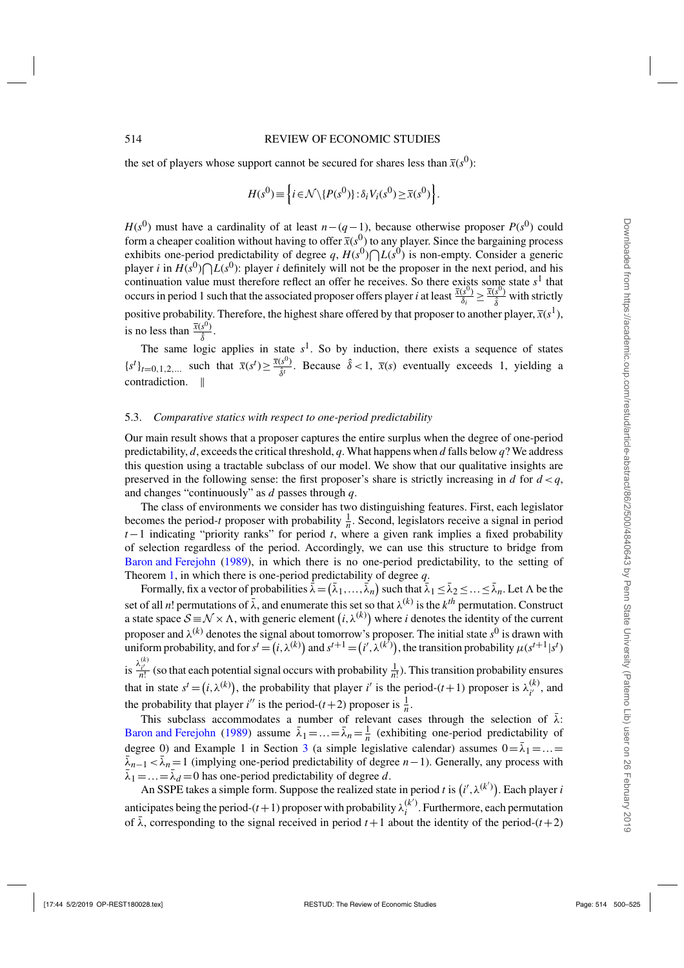<span id="page-14-0"></span>the set of players whose support cannot be secured for shares less than  $\bar{x}(s^0)$ :

$$
H(s^{0}) \equiv \left\{ i \in \mathcal{N} \setminus \{ P(s^{0}) \} : \delta_{i} V_{i}(s^{0}) \geq \overline{x}(s^{0}) \right\}.
$$

*H*( $s^{0}$ ) must have a cardinality of at least *n*−(*q*−1), because otherwise proposer *P*( $s^{0}$ ) could form a cheaper coalition without having to offer  $\bar{x}(s^0)$  to any player. Since the bargaining process exhibits one-period predictability of degree  $q$ ,  $H(s^0) \bigcap L(s^0)$  is non-empty. Consider a generic player *i* in  $H(s^0) \cap L(s^0)$ : player *i* definitely will not be the proposer in the next period, and his continuation value must therefore reflect an offer he receives. So there exists some state  $s<sup>1</sup>$  that occurs in period 1 such that the associated proposer offers player *i* at least  $\frac{\bar{x}(s^0)}{\delta_i} \ge \frac{\bar{x}(s^0)}{\hat{\delta}}$  with strictly positive probability. Therefore, the highest share offered by that proposer to another player,  $\bar{x}(s^1)$ , is no less than  $\frac{\overline{x}(s^0)}{\hat{\delta}}$ .

The same logic applies in state  $s<sup>1</sup>$ . So by induction, there exists a sequence of states  ${s<sup>t</sup>}_{t=0,1,2,...}$  such that  $\bar{x}(s<sup>t</sup>) \ge \frac{\bar{x}(s^{0})}{\hat{\delta}^{t}}$ . Because  $\hat{\delta} < 1$ ,  $\bar{x}(s)$  eventually exceeds 1, yielding a contradiction.

#### 5.3. *Comparative statics with respect to one-period predictability*

Our main result shows that a proposer captures the entire surplus when the degree of one-period predictability, *d*, exceeds the critical threshold, *q*. What happens when *d* falls below *q*? We address this question using a tractable subclass of our model. We show that our qualitative insights are preserved in the following sense: the first proposer's share is strictly increasing in *d* for  $d < q$ , and changes "continuously" as *d* passes through *q*.

The class of environments we consider has two distinguishing features. First, each legislator becomes the period-*t* proposer with probability  $\frac{1}{n}$ . Second, legislators receive a signal in period *t*−1 indicating "priority ranks" for period *t*, where a given rank implies a fixed probability of selection regardless of the period. Accordingly, we can use this structure to bridge from [Baron and Ferejohn](#page-24-0) [\(1989](#page-24-0)), in which there is no one-period predictability, to the setting of Theorem [1,](#page-11-0) in which there is one-period predictability of degree *q*.

Formally, fix a vector of probabilities  $\bar{\lambda} = (\bar{\lambda}_1, \dots, \bar{\lambda}_n)$  such that  $\bar{\lambda}_1 \le \bar{\lambda}_2 \le \dots \le \bar{\lambda}_n$ . Let  $\Lambda$  be the set of all *n*! permutations of  $\bar{\lambda}$ , and enumerate this set so that  $\lambda^{(k)}$  is the  $k^{th}$  permutation. Construct a state space  $S = N \times \Lambda$ , with generic element  $(i, \lambda^{(k)})$  where *i* denotes the identity of the current proposer and  $\lambda^{(k)}$  denotes the signal about tomorrow's proposer. The initial state  $s^0$  is drawn with uniform probability, and for  $s^t = (i, \lambda^{(k)})$  and  $s^{t+1} = (i', \lambda^{(k')})$ , the transition probability  $\mu(s^{t+1} | s^t)$ is  $\frac{\lambda_i^{(k)}}{n!}$  (so that each potential signal occurs with probability  $\frac{1}{n!}$ ). This transition probability ensures that in state  $s^t = (i, \lambda^{(k)})$ , the probability that player *i*' is the period-(*t*+1) proposer is  $\lambda^{(k)}_{i'}$ , and the probability that player *i*'' is the period-(*t*+2) proposer is  $\frac{1}{n}$ .

This subclass accommodates a number of relevant cases through the selection of  $\bar{\lambda}$ : [Baron and Ferejohn](#page-24-0) [\(1989\)](#page-24-0) assume  $\bar{\lambda}_1 = ... = \bar{\lambda}_n = \frac{1}{n}$  (exhibiting one-period predictability of degree 0) and Example 1 in Section [3](#page-6-0) (a simple legislative calendar) assumes  $0 = \bar{\lambda}_1 = ... =$  $\bar{\lambda}_{n-1} < \bar{\lambda}_n = 1$  (implying one-period predictability of degree *n*−1). Generally, any process with  $\bar{\lambda}_1 = ... = \bar{\lambda}_d = 0$  has one-period predictability of degree d.

An SSPE takes a simple form. Suppose the realized state in period *t* is  $(i', \lambda^{(k')})$ . Each player *i* anticipates being the period- $(t+1)$  proposer with probability  $\lambda_i^{(k')}$ . Furthermore, each permutation of  $\bar{\lambda}$ , corresponding to the signal received in period  $t+1$  about the identity of the period- $(t+2)$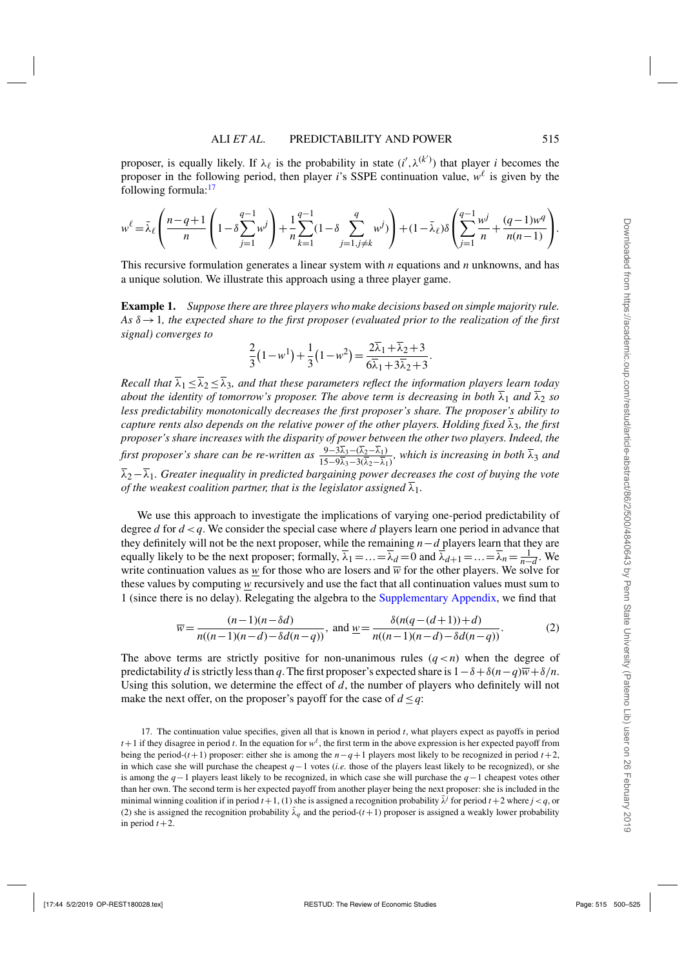<span id="page-15-0"></span>proposer, is equally likely. If  $\lambda_{\ell}$  is the probability in state  $(i', \lambda^{(k')})$  that player *i* becomes the proposer in the following period, then player *i*'s SSPE continuation value,  $w^{\ell}$  is given by the following formula:<sup>17</sup>

$$
w^{\ell} = \bar{\lambda}_{\ell} \left( \frac{n - q + 1}{n} \left( 1 - \delta \sum_{j=1}^{q-1} w^{j} \right) + \frac{1}{n} \sum_{k=1}^{q-1} (1 - \delta \sum_{j=1, j \neq k}^{q} w^{j}) \right) + (1 - \bar{\lambda}_{\ell}) \delta \left( \sum_{j=1}^{q-1} \frac{w^{j}}{n} + \frac{(q-1)w^{q}}{n(n-1)} \right).
$$

This recursive formulation generates a linear system with *n* equations and *n* unknowns, and has a unique solution. We illustrate this approach using a three player game.

**Example 1.** *Suppose there are three players who make decisions based on simple majority rule. As* δ→1*, the expected share to the first proposer (evaluated prior to the realization of the first signal) converges to*

$$
\frac{2}{3}(1-w^1) + \frac{1}{3}(1-w^2) = \frac{2\overline{\lambda}_1 + \overline{\lambda}_2 + 3}{6\overline{\lambda}_1 + 3\overline{\lambda}_2 + 3}.
$$

*Recall that*  $\overline{\lambda}_1 \leq \overline{\lambda}_2 \leq \overline{\lambda}_3$ *, and that these parameters reflect the information players learn today about the identity of tomorrow's proposer. The above term is decreasing in both*  $\overline{\lambda}_1$  *and*  $\overline{\lambda}_2$  *so less predictability monotonically decreases the first proposer's share. The proposer's ability to capture rents also depends on the relative power of the other players. Holding fixed*  $\overline{\lambda}_3$ *, the first proposer's share increases with the disparity of power between the other two players. Indeed, the first proposer's share can be re-written as*  $\frac{9-3\overline{\lambda}_3-(\overline{\lambda}_2-\overline{\lambda}_1)}{15-9\overline{\lambda}_3-3(\overline{\lambda}_2-\overline{\lambda}_1)}$ , which is increasing in both  $\overline{\lambda}_3$  and λ2−λ1*. Greater inequality in predicted bargaining power decreases the cost of buying the vote of the weakest coalition partner, that is the legislator assigned*  $\overline{\lambda}_1$ *.* 

We use this approach to investigate the implications of varying one-period predictability of degree *d* for *d* <*q*. We consider the special case where *d* players learn one period in advance that they definitely will not be the next proposer, while the remaining *n*−*d* players learn that they are equally likely to be the next proposer; formally,  $\overline{\lambda}_1 = ... = \overline{\lambda}_d = 0$  and  $\overline{\lambda}_{d+1} = ... = \overline{\lambda}_n = \frac{1}{n-d}$ . We write continuation values as *w* for those who are losers and  $\overline{w}$  for the other players. We solve for these values by computing *w* recursively and use the fact that all continuation values must sum to 1 (since there is no delay). Relegating the algebra to the [Supplementary Appendix,](https://academic.oup.com/restud/article-lookup/doi/10.1093/restud/rdy013#supplementary-data) we find that

$$
\overline{w} = \frac{(n-1)(n-\delta d)}{n((n-1)(n-d)-\delta d(n-q))}, \text{ and } \underline{w} = \frac{\delta(n(q-(d+1))+d)}{n((n-1)(n-d)-\delta d(n-q))}.
$$
 (2)

The above terms are strictly positive for non-unanimous rules  $(q < n)$  when the degree of predictability *d* is strictly less than *q*. The first proposer's expected share is  $1-\delta+\delta(n-q)\overline{w}+\delta/n$ . Using this solution, we determine the effect of *d*, the number of players who definitely will not make the next offer, on the proposer's payoff for the case of  $d \leq q$ :

<sup>17.</sup> The continuation value specifies, given all that is known in period *t*, what players expect as payoffs in period  $t+1$  if they disagree in period *t*. In the equation for  $w^{\ell}$ , the first term in the above expression is her expected payoff from being the period-(*t*+1) proposer: either she is among the  $n-q+1$  players most likely to be recognized in period  $t+2$ , in which case she will purchase the cheapest *q*−1 votes (*i.e.* those of the players least likely to be recognized), or she is among the *q*−1 players least likely to be recognized, in which case she will purchase the *q*−1 cheapest votes other than her own. The second term is her expected payoff from another player being the next proposer: she is included in the minimal winning coalition if in period  $t+1$ , (1) she is assigned a recognition probability  $\overline{\lambda}^j$  for period  $t+2$  where  $j < q$ , or (2) she is assigned the recognition probability  $\bar{\lambda}_q$  and the period-( $t+1$ ) proposer is assigned a weakly lower probability in period  $t+2$ .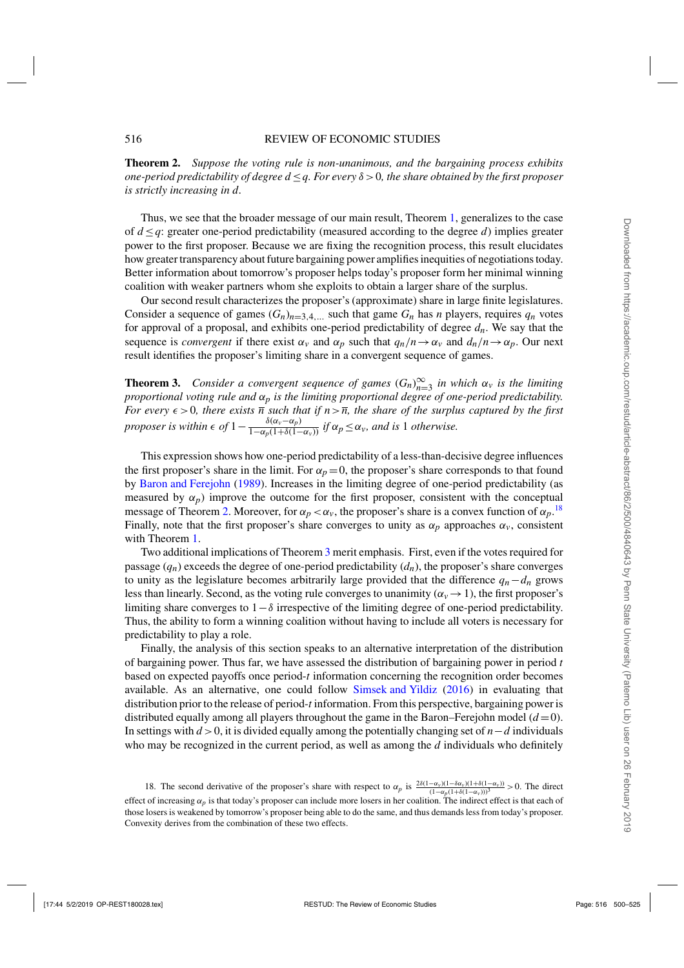**Theorem 2.** *Suppose the voting rule is non-unanimous, and the bargaining process exhibits one-period predictability of degree d* ≤*q. For every* δ >0*, the share obtained by the first proposer is strictly increasing in d.*

Thus, we see that the broader message of our main result, Theorem [1,](#page-11-0) generalizes to the case of  $d \leq q$ : greater one-period predictability (measured according to the degree *d*) implies greater power to the first proposer. Because we are fixing the recognition process, this result elucidates how greater transparency about future bargaining power amplifies inequities of negotiations today. Better information about tomorrow's proposer helps today's proposer form her minimal winning coalition with weaker partners whom she exploits to obtain a larger share of the surplus.

Our second result characterizes the proposer's (approximate) share in large finite legislatures. Consider a sequence of games  $(G_n)_{n=3,4,...}$  such that game  $G_n$  has *n* players, requires  $q_n$  votes for approval of a proposal, and exhibits one-period predictability of degree  $d_n$ . We say that the sequence is *convergent* if there exist  $\alpha_v$  and  $\alpha_p$  such that  $q_n/n \to \alpha_v$  and  $d_n/n \to \alpha_p$ . Our next result identifies the proposer's limiting share in a convergent sequence of games.

**Theorem 3.** *Consider a convergent sequence of games*  $(G_n)_{n=3}^{\infty}$  *in which*  $\alpha_v$  *is the limiting proportional voting rule and* α*p is the limiting proportional degree of one-period predictability. For every*  $\epsilon > 0$ , there exists  $\overline{n}$  such that if  $n > \overline{n}$ , the share of the surplus captured by the first *proposer is within*  $\epsilon$  *of*  $1 - \frac{\delta(\alpha_v - \alpha_p)}{1 - \alpha_p(1 + \delta(1 - \alpha_v))}$  *if*  $\alpha_p \leq \alpha_v$ *, and is* 1 *otherwise.* 

This expression shows how one-period predictability of a less-than-decisive degree influences the first proposer's share in the limit. For  $\alpha_p = 0$ , the proposer's share corresponds to that found by [Baron and Ferejohn](#page-24-0) [\(1989\)](#page-24-0). Increases in the limiting degree of one-period predictability (as measured by  $\alpha_p$ ) improve the outcome for the first proposer, consistent with the conceptual message of Theorem [2.](#page-15-0) Moreover, for  $\alpha_p < \alpha_v$ , the proposer's share is a convex function of  $\alpha_p$ .<sup>18</sup> Finally, note that the first proposer's share converges to unity as  $\alpha_p$  approaches  $\alpha_v$ , consistent with Theorem [1.](#page-11-0)

Two additional implications of Theorem 3 merit emphasis. First, even if the votes required for passage  $(q_n)$  exceeds the degree of one-period predictability  $(d_n)$ , the proposer's share converges to unity as the legislature becomes arbitrarily large provided that the difference  $q_n - d_n$  grows less than linearly. Second, as the voting rule converges to unanimity  $(\alpha_v \rightarrow 1)$ , the first proposer's limiting share converges to  $1-\delta$  irrespective of the limiting degree of one-period predictability. Thus, the ability to form a winning coalition without having to include all voters is necessary for predictability to play a role.

Finally, the analysis of this section speaks to an alternative interpretation of the distribution of bargaining power. Thus far, we have assessed the distribution of bargaining power in period *t* based on expected payoffs once period-*t* information concerning the recognition order becomes available. As an alternative, one could follow [Simsek and Yildiz](#page-25-0) [\(2016\)](#page-25-0) in evaluating that distribution prior to the release of period-*t* information. From this perspective, bargaining power is distributed equally among all players throughout the game in the Baron–Ferejohn model  $(d=0)$ . In settings with *d* >0, it is divided equally among the potentially changing set of *n*−*d* individuals who may be recognized in the current period, as well as among the *d* individuals who definitely

<sup>18.</sup> The second derivative of the proposer's share with respect to  $\alpha_p$  is  $\frac{2\delta(1-\alpha_v)(1-\delta\alpha_v)(1+\delta(1-\alpha_v))}{(1-\alpha_p(1+\delta(1-\alpha_v)))^3} > 0$ . The direct effect of increasing  $\alpha_p$  is that today's proposer can include more losers in her coalition. The indirect effect is that each of those losers is weakened by tomorrow's proposer being able to do the same, and thus demands less from today's proposer. Convexity derives from the combination of these two effects.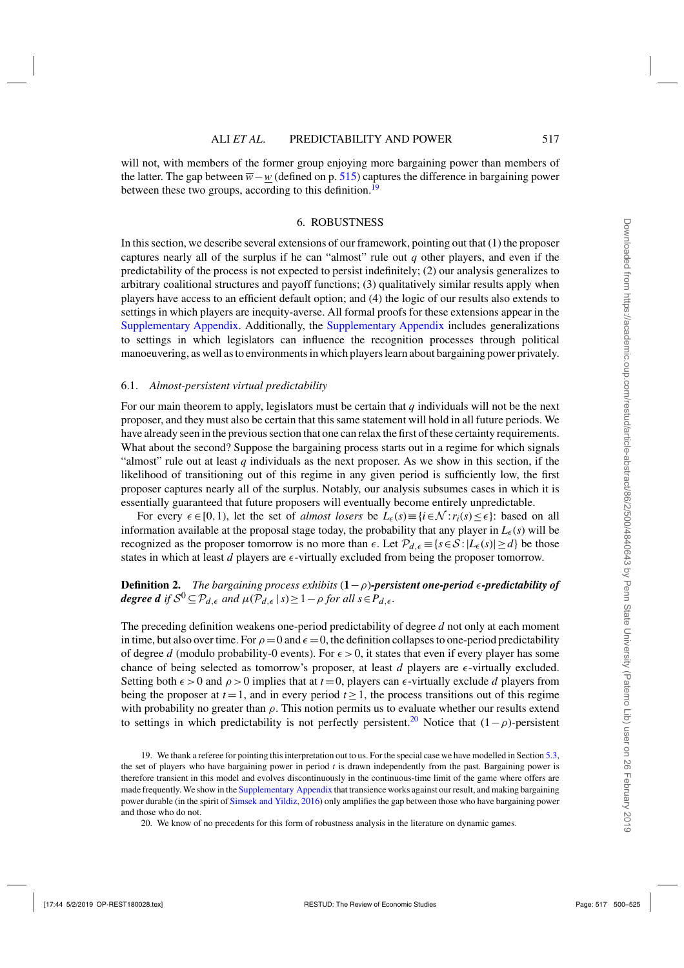<span id="page-17-0"></span>will not, with members of the former group enjoying more bargaining power than members of the latter. The gap between  $\overline{w}-w$  (defined on p. [515\)](#page-15-0) captures the difference in bargaining power between these two groups, according to this definition.<sup>19</sup>

#### 6. ROBUSTNESS

In this section, we describe several extensions of our framework, pointing out that (1) the proposer captures nearly all of the surplus if he can "almost" rule out *q* other players, and even if the predictability of the process is not expected to persist indefinitely; (2) our analysis generalizes to arbitrary coalitional structures and payoff functions; (3) qualitatively similar results apply when players have access to an efficient default option; and (4) the logic of our results also extends to settings in which players are inequity-averse. All formal proofs for these extensions appear in the [Supplementary Appendix.](https://academic.oup.com/restud/article-lookup/doi/10.1093/restud/rdy013#supplementary-data) Additionally, the [Supplementary Appendix](https://academic.oup.com/restud/article-lookup/doi/10.1093/restud/rdy013#supplementary-data) includes generalizations to settings in which legislators can influence the recognition processes through political manoeuvering, as well as to environments in which players learn about bargaining power privately.

#### 6.1. *Almost-persistent virtual predictability*

For our main theorem to apply, legislators must be certain that *q* individuals will not be the next proposer, and they must also be certain that this same statement will hold in all future periods. We have already seen in the previous section that one can relax the first of these certainty requirements. What about the second? Suppose the bargaining process starts out in a regime for which signals "almost" rule out at least  $q$  individuals as the next proposer. As we show in this section, if the likelihood of transitioning out of this regime in any given period is sufficiently low, the first proposer captures nearly all of the surplus. Notably, our analysis subsumes cases in which it is essentially guaranteed that future proposers will eventually become entirely unpredictable.

For every  $\epsilon \in [0,1)$ , let the set of *almost losers* be  $L_{\epsilon}(s) = \{i \in \mathcal{N} : r_i(s) \leq \epsilon\}$ : based on all information available at the proposal stage today, the probability that any player in  $L_{\epsilon}(s)$  will be recognized as the proposer tomorrow is no more than  $\epsilon$ . Let  $\mathcal{P}_{d,\epsilon} \equiv \{s \in \mathcal{S} : |L_{\epsilon}(s)| \geq d\}$  be those states in which at least  $d$  players are  $\epsilon$ -virtually excluded from being the proposer tomorrow.

# **Definition 2.** *The bargaining process exhibits*  $(1-\rho)$ *-persistent one-period*  $\epsilon$ *-predictability of degree d* if  $S^0 \subseteq \mathcal{P}_{d,\epsilon}$  *and*  $\mu(\mathcal{P}_{d,\epsilon} | s) \geq 1 - \rho$  *for all*  $s \in \mathcal{P}_{d,\epsilon}$ *.*

The preceding definition weakens one-period predictability of degree *d* not only at each moment in time, but also over time. For  $\rho = 0$  and  $\epsilon = 0$ , the definition collapses to one-period predictability of degree *d* (modulo probability-0 events). For  $\epsilon > 0$ , it states that even if every player has some chance of being selected as tomorrow's proposer, at least  $d$  players are  $\epsilon$ -virtually excluded. Setting both  $\epsilon > 0$  and  $\rho > 0$  implies that at  $t = 0$ , players can  $\epsilon$ -virtually exclude *d* players from being the proposer at  $t = 1$ , and in every period  $t \ge 1$ , the process transitions out of this regime with probability no greater than  $\rho$ . This notion permits us to evaluate whether our results extend to settings in which predictability is not perfectly persistent.<sup>20</sup> Notice that  $(1-\rho)$ -persistent

19. We thank a referee for pointing this interpretation out to us. For the special case we have modelled in Section [5.3,](#page-14-0) the set of players who have bargaining power in period *t* is drawn independently from the past. Bargaining power is therefore transient in this model and evolves discontinuously in the continuous-time limit of the game where offers are made frequently. We show in the [Supplementary Appendix](https://academic.oup.com/restud/article-lookup/doi/10.1093/restud/rdy013#supplementary-data) that transience works against our result, and making bargaining power durable (in the spirit of [Simsek and Yildiz,](#page-25-0) [2016](#page-25-0)) only amplifies the gap between those who have bargaining power and those who do not.

20. We know of no precedents for this form of robustness analysis in the literature on dynamic games.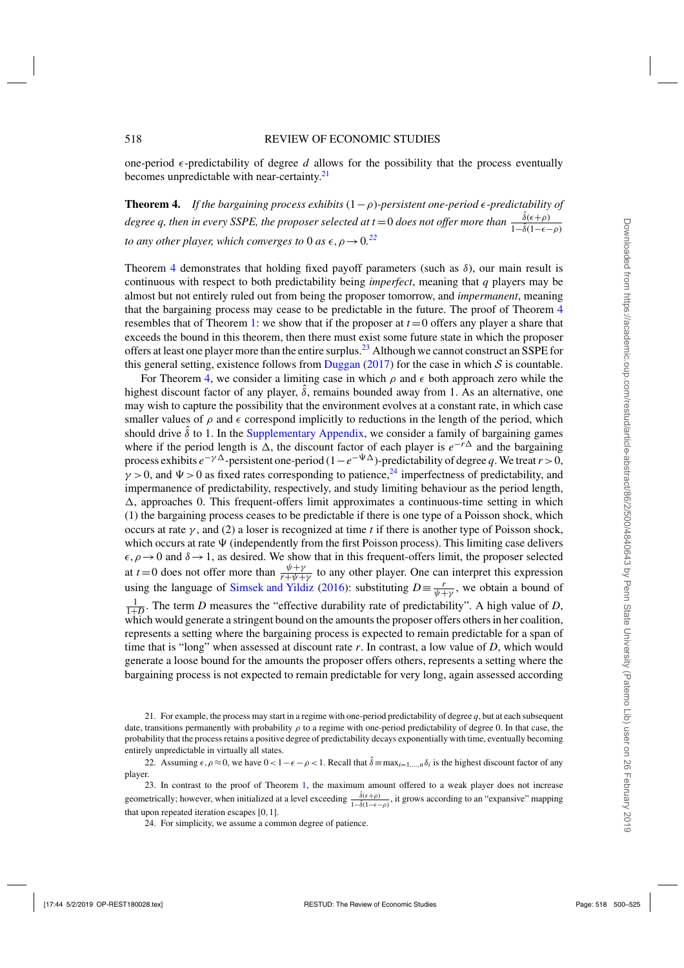one-period  $\epsilon$ -predictability of degree *d* allows for the possibility that the process eventually becomes unpredictable with near-certainty.<sup>21</sup>

**Theorem 4.** If the bargaining process exhibits  $(1-\rho)$ -persistent one-period  $\epsilon$ -predictability of degree q, then in every SSPE, the proposer selected at t = 0 does not offer more than  $\frac{\hat{\delta}(\epsilon+\rho)}{1-\hat{\delta}(1-\epsilon-\rho)}$ *to any other player, which converges to* 0 *as*  $\epsilon, \rho \rightarrow 0$ .<sup>22</sup>

Theorem 4 demonstrates that holding fixed payoff parameters (such as  $\delta$ ), our main result is continuous with respect to both predictability being *imperfect*, meaning that *q* players may be almost but not entirely ruled out from being the proposer tomorrow, and *impermanent*, meaning that the bargaining process may cease to be predictable in the future. The proof of Theorem 4 resembles that of Theorem [1:](#page-11-0) we show that if the proposer at  $t = 0$  offers any player a share that exceeds the bound in this theorem, then there must exist some future state in which the proposer offers at least one player more than the entire surplus.<sup>23</sup> Although we cannot construct an SSPE for this general setting, existence follows from [Duggan](#page-25-0) [\(2017](#page-25-0)) for the case in which  $S$  is countable.

For Theorem 4, we consider a limiting case in which  $\rho$  and  $\epsilon$  both approach zero while the highest discount factor of any player,  $\hat{\delta}$ , remains bounded away from 1. As an alternative, one may wish to capture the possibility that the environment evolves at a constant rate, in which case smaller values of  $\rho$  and  $\epsilon$  correspond implicitly to reductions in the length of the period, which should drive  $\hat{\delta}$  to 1. In the [Supplementary Appendix,](https://academic.oup.com/restud/article-lookup/doi/10.1093/restud/rdy013#supplementary-data) we consider a family of bargaining games where if the period length is  $\Delta$ , the discount factor of each player is  $e^{-r\Delta}$  and the bargaining process exhibits  $e^{-\gamma \Delta}$ -persistent one-period (1− $e^{-\Psi \Delta}$ )-predictability of degree *q*. We treat *r* > 0,  $\gamma > 0$ , and  $\Psi > 0$  as fixed rates corresponding to patience,<sup>24</sup> imperfectness of predictability, and impermanence of predictability, respectively, and study limiting behaviour as the period length,  $\Delta$ , approaches 0. This frequent-offers limit approximates a continuous-time setting in which (1) the bargaining process ceases to be predictable if there is one type of a Poisson shock, which occurs at rate  $\gamma$ , and (2) a loser is recognized at time *t* if there is another type of Poisson shock, which occurs at rate  $\Psi$  (independently from the first Poisson process). This limiting case delivers  $\epsilon, \rho \to 0$  and  $\delta \to 1$ , as desired. We show that in this frequent-offers limit, the proposer selected at  $t=0$  does not offer more than  $\frac{\psi+\gamma}{r+\psi+\gamma}$  to any other player. One can interpret this expression using the language of [Simsek and Yildiz](#page-25-0) [\(2016\)](#page-25-0): substituting  $D \equiv \frac{r}{\psi + \gamma}$ , we obtain a bound of  $\frac{1}{1+D}$ . The term *D* measures the "effective durability rate of predictability". A high value of *D*, which would generate a stringent bound on the amounts the proposer offers others in her coalition, represents a setting where the bargaining process is expected to remain predictable for a span of time that is "long" when assessed at discount rate *r*. In contrast, a low value of *D*, which would generate a loose bound for the amounts the proposer offers others, represents a setting where the bargaining process is not expected to remain predictable for very long, again assessed according

22. Assuming  $\epsilon, \rho \approx 0$ , we have  $0 < 1 - \epsilon - \rho < 1$ . Recall that  $\hat{\delta} = \max_{i=1,\dots,n} \delta_i$  is the highest discount factor of any player.

23. In contrast to the proof of Theorem [1,](#page-11-0) the maximum amount offered to a weak player does not increase geometrically; however, when initialized at a level exceeding  $\frac{\hat{\delta}(\epsilon+\rho)}{1-\hat{\delta}(1-\epsilon-\rho)}$ , it grows according to an "expansive" mapping that upon repeated iteration escapes [0,1].

24. For simplicity, we assume a common degree of patience.

<sup>21.</sup> For example, the process may start in a regime with one-period predictability of degree *q*, but at each subsequent date, transitions permanently with probability  $\rho$  to a regime with one-period predictability of degree 0. In that case, the probability that the process retains a positive degree of predictability decays exponentially with time, eventually becoming entirely unpredictable in virtually all states.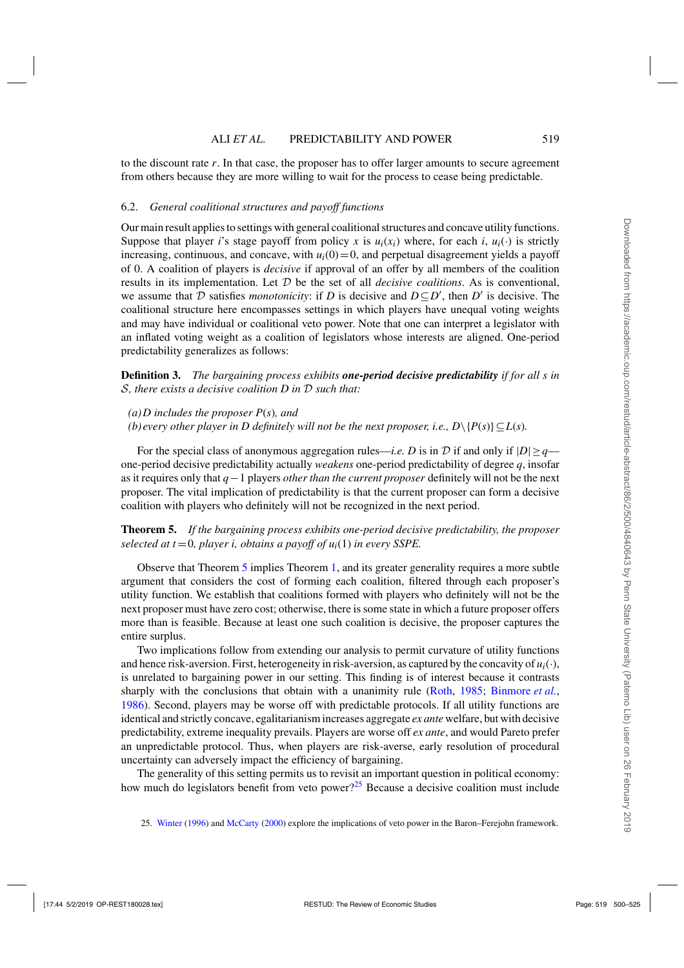<span id="page-19-0"></span>to the discount rate *r*. In that case, the proposer has to offer larger amounts to secure agreement from others because they are more willing to wait for the process to cease being predictable.

## 6.2. *General coalitional structures and payoff functions*

Our main result applies to settings with general coalitional structures and concave utility functions. Suppose that player *i*'s stage payoff from policy *x* is  $u_i(x_i)$  where, for each *i*,  $u_i(\cdot)$  is strictly increasing, continuous, and concave, with  $u_i(0) = 0$ , and perpetual disagreement yields a payoff of 0. A coalition of players is *decisive* if approval of an offer by all members of the coalition results in its implementation. Let D be the set of all *decisive coalitions*. As is conventional, we assume that  $D$  satisfies *monotonicity*: if  $D$  is decisive and  $D \subseteq D'$ , then  $D'$  is decisive. The coalitional structure here encompasses settings in which players have unequal voting weights and may have individual or coalitional veto power. Note that one can interpret a legislator with an inflated voting weight as a coalition of legislators whose interests are aligned. One-period predictability generalizes as follows:

**Definition 3.** *The bargaining process exhibits one-period decisive predictability if for all s in* S*, there exists a decisive coalition D in* D *such that:*

*(b) every other player in D definitely will not be the next proposer, i.e.,*  $D \setminus \{P(s)\} \subseteq L(s)$ *.* 

For the special class of anonymous aggregation rules—*i.e.* D is in  $\mathcal D$  if and only if  $|D| \geq q$  one-period decisive predictability actually *weakens* one-period predictability of degree *q*, insofar as it requires only that *q*−1 players *other than the current proposer* definitely will not be the next proposer. The vital implication of predictability is that the current proposer can form a decisive coalition with players who definitely will not be recognized in the next period.

**Theorem 5.** *If the bargaining process exhibits one-period decisive predictability, the proposer selected at t* = 0*, player i, obtains a payoff of u<sub>i</sub>(1) in every SSPE.* 

Observe that Theorem 5 implies Theorem [1,](#page-11-0) and its greater generality requires a more subtle argument that considers the cost of forming each coalition, filtered through each proposer's utility function. We establish that coalitions formed with players who definitely will not be the next proposer must have zero cost; otherwise, there is some state in which a future proposer offers more than is feasible. Because at least one such coalition is decisive, the proposer captures the entire surplus.

Two implications follow from extending our analysis to permit curvature of utility functions and hence risk-aversion. First, heterogeneity in risk-aversion, as captured by the concavity of  $u_i(\cdot)$ , is unrelated to bargaining power in our setting. This finding is of interest because it contrasts sharply with the conclusions that obtain with a unanimity rule [\(Roth,](#page-25-0) [1985](#page-25-0); [Binmore](#page-25-0) *et al.*, [1986](#page-25-0)). Second, players may be worse off with predictable protocols. If all utility functions are identical and strictly concave, egalitarianism increases aggregate *ex ante* welfare, but with decisive predictability, extreme inequality prevails. Players are worse off *ex ante*, and would Pareto prefer an unpredictable protocol. Thus, when players are risk-averse, early resolution of procedural uncertainty can adversely impact the efficiency of bargaining.

The generality of this setting permits us to revisit an important question in political economy: how much do legislators benefit from veto power?<sup>25</sup> Because a decisive coalition must include

*<sup>(</sup>a)D includes the proposer P*(*s*)*, and*

<sup>25.</sup> [Winter](#page-25-0) [\(1996](#page-25-0)) and [McCarty](#page-25-0) [\(2000](#page-25-0)) explore the implications of veto power in the Baron–Ferejohn framework.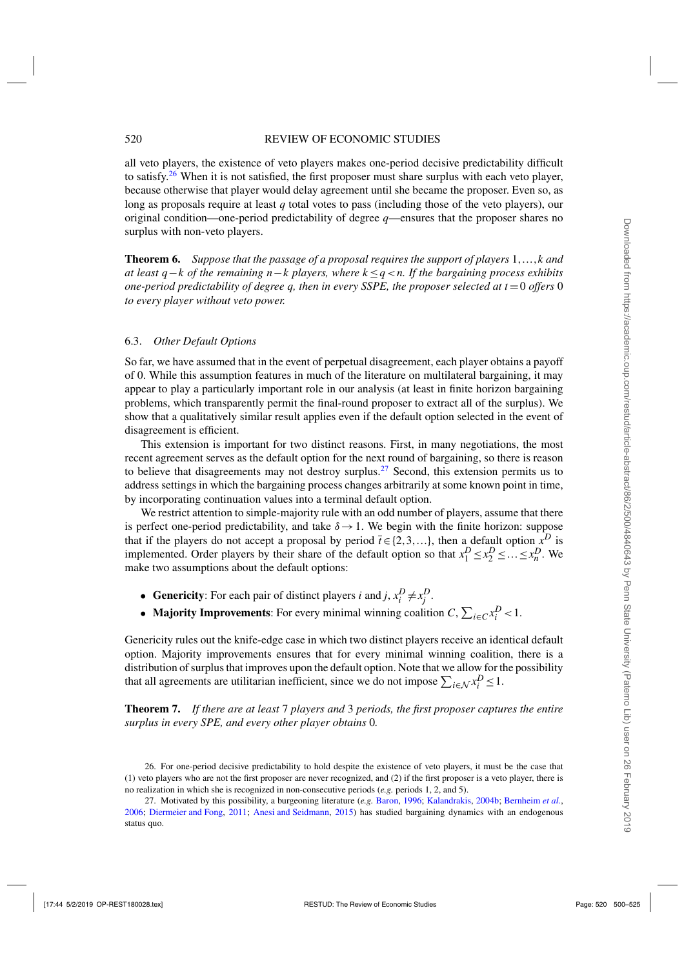#### 520 REVIEW OF ECONOMIC STUDIES

all veto players, the existence of veto players makes one-period decisive predictability difficult to satisfy.<sup>26</sup> When it is not satisfied, the first proposer must share surplus with each veto player, because otherwise that player would delay agreement until she became the proposer. Even so, as long as proposals require at least *q* total votes to pass (including those of the veto players), our original condition—one-period predictability of degree *q*—ensures that the proposer shares no surplus with non-veto players.

**Theorem 6.** *Suppose that the passage of a proposal requires the support of players* 1,...,*k and at least q*−*k of the remaining n*−*k players, where k* ≤*q*<*n. If the bargaining process exhibits one-period predictability of degree q, then in every SSPE, the proposer selected at*  $t = 0$  *offers* 0 *to every player without veto power.*

#### 6.3. *Other Default Options*

So far, we have assumed that in the event of perpetual disagreement, each player obtains a payoff of 0. While this assumption features in much of the literature on multilateral bargaining, it may appear to play a particularly important role in our analysis (at least in finite horizon bargaining problems, which transparently permit the final-round proposer to extract all of the surplus). We show that a qualitatively similar result applies even if the default option selected in the event of disagreement is efficient.

This extension is important for two distinct reasons. First, in many negotiations, the most recent agreement serves as the default option for the next round of bargaining, so there is reason to believe that disagreements may not destroy surplus.<sup>27</sup> Second, this extension permits us to address settings in which the bargaining process changes arbitrarily at some known point in time, by incorporating continuation values into a terminal default option.

We restrict attention to simple-majority rule with an odd number of players, assume that there is perfect one-period predictability, and take  $\delta \rightarrow 1$ . We begin with the finite horizon: suppose that if the players do not accept a proposal by period  $\bar{t} \in \{2, 3, ...\}$ , then a default option  $x^D$  is implemented. Order players by their share of the default option so that  $x_1^D \le x_2^D \le ... \le x_n^D$ . We make two assumptions about the default options:

- **Genericity**: For each pair of distinct players *i* and *j*,  $x_i^D \neq x_j^D$ .
- **Majority Improvements**: For every minimal winning coalition *C*,  $\sum_{i \in C} x_i^D < 1$ .

Genericity rules out the knife-edge case in which two distinct players receive an identical default option. Majority improvements ensures that for every minimal winning coalition, there is a distribution of surplus that improves upon the default option. Note that we allow for the possibility that all agreements are utilitarian inefficient, since we do not impose  $\sum_{i \in \mathcal{N}} x_i^D \leq 1$ .

**Theorem 7.** *If there are at least* 7 *players and* 3 *periods, the first proposer captures the entire surplus in every SPE, and every other player obtains* 0*.*

<sup>26.</sup> For one-period decisive predictability to hold despite the existence of veto players, it must be the case that (1) veto players who are not the first proposer are never recognized, and (2) if the first proposer is a veto player, there is no realization in which she is recognized in non-consecutive periods (*e.g.* periods 1, 2, and 5).

<sup>27.</sup> Motivated by this possibility, a burgeoning literature (*e.g.* [Baron,](#page-24-0) [1996](#page-24-0); [Kalandrakis](#page-25-0), [2004b](#page-25-0); [Bernheim](#page-24-0) *et al.*, [2006;](#page-24-0) [Diermeier and Fong](#page-25-0), [2011](#page-25-0); [Anesi and Seidmann,](#page-24-0) [2015\)](#page-24-0) has studied bargaining dynamics with an endogenous status quo.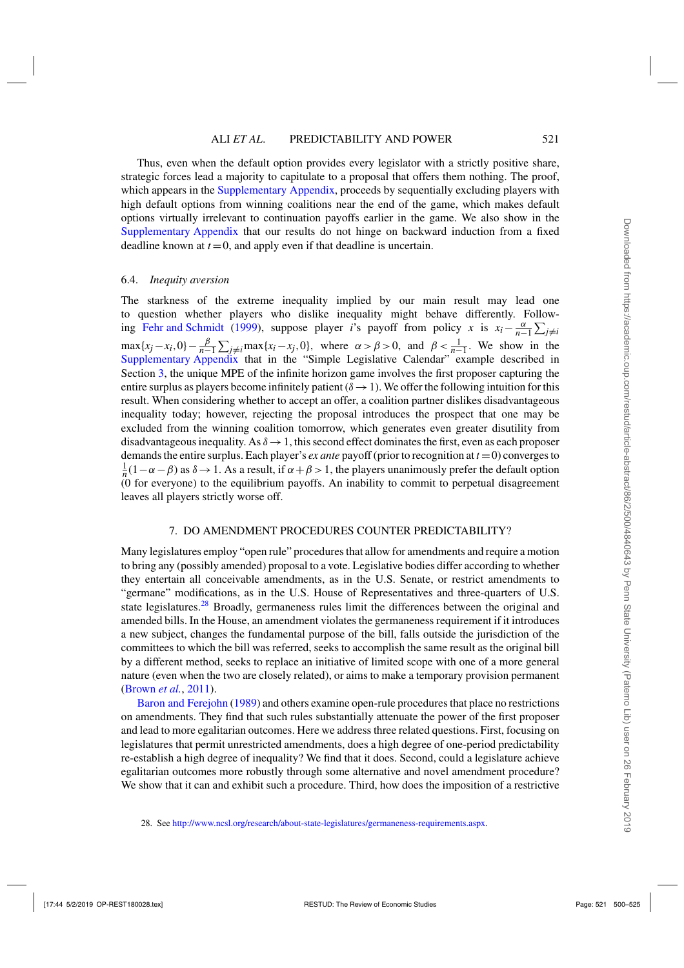<span id="page-21-0"></span>Thus, even when the default option provides every legislator with a strictly positive share, strategic forces lead a majority to capitulate to a proposal that offers them nothing. The proof, which appears in the [Supplementary Appendix,](https://academic.oup.com/restud/article-lookup/doi/10.1093/restud/rdy013#supplementary-data) proceeds by sequentially excluding players with high default options from winning coalitions near the end of the game, which makes default options virtually irrelevant to continuation payoffs earlier in the game. We also show in the [Supplementary Appendix](https://academic.oup.com/restud/article-lookup/doi/10.1093/restud/rdy013#supplementary-data) that our results do not hinge on backward induction from a fixed deadline known at  $t = 0$ , and apply even if that deadline is uncertain.

#### 6.4. *Inequity aversion*

The starkness of the extreme inequality implied by our main result may lead one to question whether players who dislike inequality might behave differently. Follow-ing [Fehr and Schmidt](#page-25-0) [\(1999](#page-25-0)), suppose player *i*'s payoff from policy *x* is  $x_i - \frac{\alpha}{n-1} \sum_{j \neq i}$  $\max\{x_j - x_i, 0\} - \frac{\beta}{n-1} \sum_{j \neq i} \max\{x_i - x_j, 0\}$ , where  $\alpha > \beta > 0$ , and  $\beta < \frac{1}{n-1}$ . We show in the [Supplementary Appendix](https://academic.oup.com/restud/article-lookup/doi/10.1093/restud/rdy013#supplementary-data) that in the "Simple Legislative Calendar" example described in Section [3,](#page-6-0) the unique MPE of the infinite horizon game involves the first proposer capturing the entire surplus as players become infinitely patient ( $\delta \rightarrow 1$ ). We offer the following intuition for this result. When considering whether to accept an offer, a coalition partner dislikes disadvantageous inequality today; however, rejecting the proposal introduces the prospect that one may be excluded from the winning coalition tomorrow, which generates even greater disutility from disadvantageous inequality. As  $\delta \rightarrow 1$ , this second effect dominates the first, even as each proposer demands the entire surplus. Each player's *ex ante* payoff (prior to recognition at  $t = 0$ ) converges to  $\frac{1}{n}(1-\alpha-\beta)$  as  $\delta \to 1$ . As a result, if  $\alpha+\beta > 1$ , the players unanimously prefer the default option (0 for everyone) to the equilibrium payoffs. An inability to commit to perpetual disagreement leaves all players strictly worse off.

## 7. DO AMENDMENT PROCEDURES COUNTER PREDICTABILITY?

Many legislatures employ "open rule" procedures that allow for amendments and require a motion to bring any (possibly amended) proposal to a vote. Legislative bodies differ according to whether they entertain all conceivable amendments, as in the U.S. Senate, or restrict amendments to "germane" modifications, as in the U.S. House of Representatives and three-quarters of U.S. state legislatures.<sup>28</sup> Broadly, germaneness rules limit the differences between the original and amended bills. In the House, an amendment violates the germaneness requirement if it introduces a new subject, changes the fundamental purpose of the bill, falls outside the jurisdiction of the committees to which the bill was referred, seeks to accomplish the same result as the original bill by a different method, seeks to replace an initiative of limited scope with one of a more general nature (even when the two are closely related), or aims to make a temporary provision permanent [\(Brown](#page-25-0) *et al.*, [2011](#page-25-0)).

[Baron and Ferejohn](#page-24-0) [\(1989\)](#page-24-0) and others examine open-rule procedures that place no restrictions on amendments. They find that such rules substantially attenuate the power of the first proposer and lead to more egalitarian outcomes. Here we address three related questions. First, focusing on legislatures that permit unrestricted amendments, does a high degree of one-period predictability re-establish a high degree of inequality? We find that it does. Second, could a legislature achieve egalitarian outcomes more robustly through some alternative and novel amendment procedure? We show that it can and exhibit such a procedure. Third, how does the imposition of a restrictive

28. See [http://www.ncsl.org/research/about-state-legislatures/germaneness-requirements.aspx.](http://www.ncsl.org/research/about-state-legislatures/germaneness-requirements.aspx)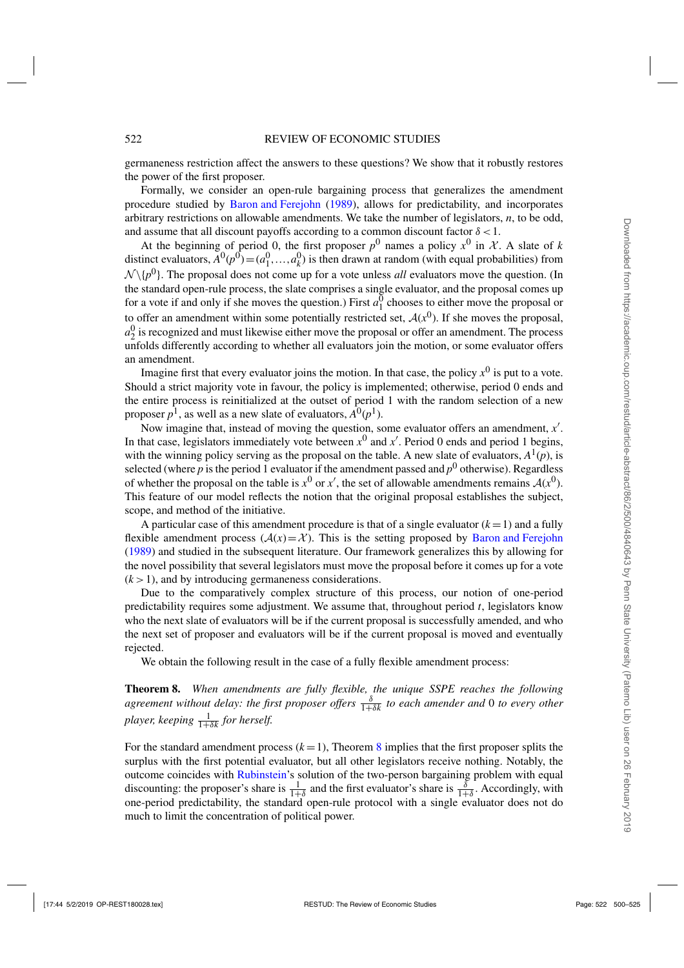<span id="page-22-0"></span>germaneness restriction affect the answers to these questions? We show that it robustly restores the power of the first proposer.

Formally, we consider an open-rule bargaining process that generalizes the amendment procedure studied by [Baron and Ferejohn](#page-24-0) [\(1989\)](#page-24-0), allows for predictability, and incorporates arbitrary restrictions on allowable amendments. We take the number of legislators, *n*, to be odd, and assume that all discount payoffs according to a common discount factor  $\delta$  < 1.

At the beginning of period 0, the first proposer  $p^0$  names a policy  $x^0$  in X. A slate of k distinct evaluators,  $A^0(p^0) = (a_1^0, \ldots, a_k^0)$  is then drawn at random (with equal probabilities) from  $\mathcal{N}\setminus\{p^0\}$ . The proposal does not come up for a vote unless *all* evaluators move the question. (In the standard open-rule process, the slate comprises a single evaluator, and the proposal comes up for a vote if and only if she moves the question.) First  $a_1^0$  chooses to either move the proposal or to offer an amendment within some potentially restricted set,  $A(x^0)$ . If she moves the proposal,  $a_2^0$  is recognized and must likewise either move the proposal or offer an amendment. The process unfolds differently according to whether all evaluators join the motion, or some evaluator offers an amendment.

Imagine first that every evaluator joins the motion. In that case, the policy  $x^0$  is put to a vote. Should a strict majority vote in favour, the policy is implemented; otherwise, period 0 ends and the entire process is reinitialized at the outset of period 1 with the random selection of a new proposer  $p^1$ , as well as a new slate of evaluators,  $A^0(p^1)$ .

Now imagine that, instead of moving the question, some evaluator offers an amendment, *x* . In that case, legislators immediately vote between  $x^0$  and  $x'$ . Period 0 ends and period 1 begins, with the winning policy serving as the proposal on the table. A new slate of evaluators,  $A^1(p)$ , is selected (where  $p$  is the period 1 evaluator if the amendment passed and  $p^0$  otherwise). Regardless of whether the proposal on the table is  $x^0$  or  $x'$ , the set of allowable amendments remains  $A(x^0)$ . This feature of our model reflects the notion that the original proposal establishes the subject, scope, and method of the initiative.

A particular case of this amendment procedure is that of a single evaluator  $(k = 1)$  and a fully flexible amendment process  $(A(x)=X)$ . This is the setting proposed by [Baron and Ferejohn](#page-24-0) [\(1989](#page-24-0)) and studied in the subsequent literature. Our framework generalizes this by allowing for the novel possibility that several legislators must move the proposal before it comes up for a vote  $(k > 1)$ , and by introducing germaneness considerations.

Due to the comparatively complex structure of this process, our notion of one-period predictability requires some adjustment. We assume that, throughout period *t*, legislators know who the next slate of evaluators will be if the current proposal is successfully amended, and who the next set of proposer and evaluators will be if the current proposal is moved and eventually rejected.

We obtain the following result in the case of a fully flexible amendment process:

**Theorem 8.** *When amendments are fully flexible, the unique SSPE reaches the following agreement without delay: the first proposer offers*  $\frac{\delta}{1+\delta k}$  *to each amender and* 0 *to every other* player, keeping  $\frac{1}{1+\delta k}$  for herself.

For the standard amendment process  $(k=1)$ , Theorem 8 implies that the first proposer splits the surplus with the first potential evaluator, but all other legislators receive nothing. Notably, the outcome coincides with [Rubinstein'](#page-25-0)s solution of the two-person bargaining problem with equal discounting: the proposer's share is  $\frac{1}{1+\delta}$  and the first evaluator's share is  $\frac{\delta}{1+\delta}$ . Accordingly, with one-period predictability, the standard open-rule protocol with a single evaluator does not do much to limit the concentration of political power.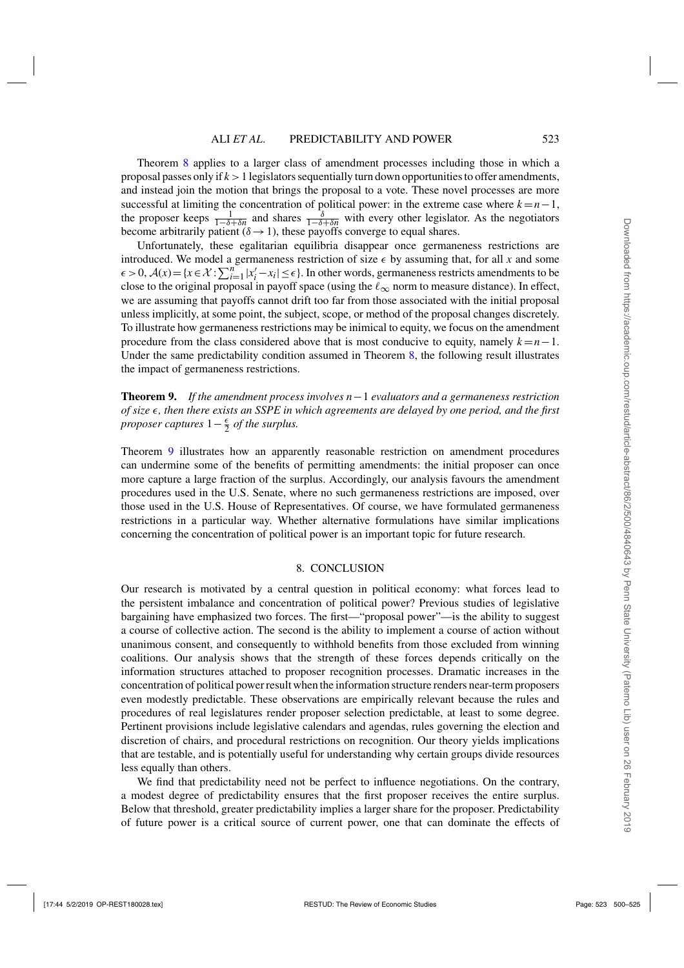<span id="page-23-0"></span>Theorem [8](#page-22-0) applies to a larger class of amendment processes including those in which a proposal passes only if  $k > 1$  legislators sequentially turn down opportunities to offer amendments, and instead join the motion that brings the proposal to a vote. These novel processes are more successful at limiting the concentration of political power: in the extreme case where  $k = n - 1$ , the proposer keeps  $\frac{1}{1-\delta+\delta n}$  and shares  $\frac{\delta}{1-\delta+\delta n}$  with every other legislator. As the negotiators become arbitrarily patient ( $\delta \rightarrow 1$ ), these payoffs converge to equal shares.

Unfortunately, these egalitarian equilibria disappear once germaneness restrictions are introduced. We model a germaneness restriction of size  $\epsilon$  by assuming that, for all *x* and some  $\epsilon > 0$ ,  $\mathcal{A}(x) = \{x \in \mathcal{X} : \sum_{i=1}^{n} |x'_i - x_i| \leq \epsilon\}$ . In other words, germaneness restricts amendments to be close to the original proposal in payoff space (using the  $\ell_{\infty}$  norm to measure distance). In effect, we are assuming that payoffs cannot drift too far from those associated with the initial proposal unless implicitly, at some point, the subject, scope, or method of the proposal changes discretely. To illustrate how germaneness restrictions may be inimical to equity, we focus on the amendment procedure from the class considered above that is most conducive to equity, namely  $k = n - 1$ . Under the same predictability condition assumed in Theorem [8,](#page-22-0) the following result illustrates the impact of germaneness restrictions.

**Theorem 9.** *If the amendment process involves n*−1 *evaluators and a germaneness restriction of size*  $\epsilon$ , then there exists an SSPE in which agreements are delayed by one period, and the first *proposer captures*  $1 - \frac{\epsilon}{2}$  *of the surplus.* 

Theorem 9 illustrates how an apparently reasonable restriction on amendment procedures can undermine some of the benefits of permitting amendments: the initial proposer can once more capture a large fraction of the surplus. Accordingly, our analysis favours the amendment procedures used in the U.S. Senate, where no such germaneness restrictions are imposed, over those used in the U.S. House of Representatives. Of course, we have formulated germaneness restrictions in a particular way. Whether alternative formulations have similar implications concerning the concentration of political power is an important topic for future research.

#### 8. CONCLUSION

Our research is motivated by a central question in political economy: what forces lead to the persistent imbalance and concentration of political power? Previous studies of legislative bargaining have emphasized two forces. The first—"proposal power"—is the ability to suggest a course of collective action. The second is the ability to implement a course of action without unanimous consent, and consequently to withhold benefits from those excluded from winning coalitions. Our analysis shows that the strength of these forces depends critically on the information structures attached to proposer recognition processes. Dramatic increases in the concentration of political power result when the information structure renders near-term proposers even modestly predictable. These observations are empirically relevant because the rules and procedures of real legislatures render proposer selection predictable, at least to some degree. Pertinent provisions include legislative calendars and agendas, rules governing the election and discretion of chairs, and procedural restrictions on recognition. Our theory yields implications that are testable, and is potentially useful for understanding why certain groups divide resources less equally than others.

We find that predictability need not be perfect to influence negotiations. On the contrary, a modest degree of predictability ensures that the first proposer receives the entire surplus. Below that threshold, greater predictability implies a larger share for the proposer. Predictability of future power is a critical source of current power, one that can dominate the effects of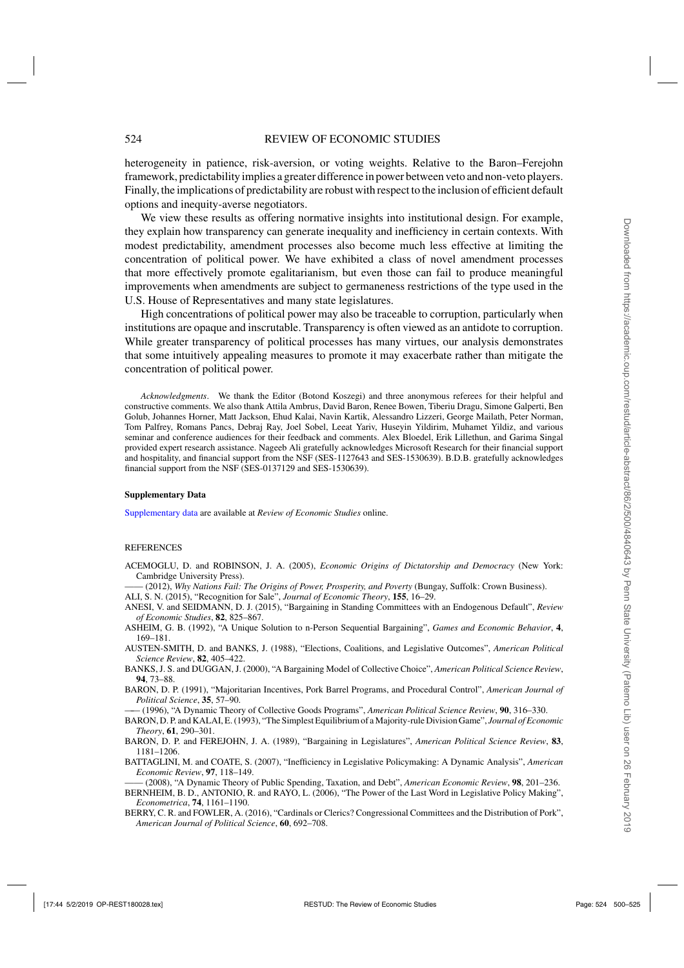<span id="page-24-0"></span>heterogeneity in patience, risk-aversion, or voting weights. Relative to the Baron–Ferejohn framework, predictability implies a greater difference in power between veto and non-veto players. Finally, the implications of predictability are robust with respect to the inclusion of efficient default options and inequity-averse negotiators.

We view these results as offering normative insights into institutional design. For example, they explain how transparency can generate inequality and inefficiency in certain contexts. With modest predictability, amendment processes also become much less effective at limiting the concentration of political power. We have exhibited a class of novel amendment processes that more effectively promote egalitarianism, but even those can fail to produce meaningful improvements when amendments are subject to germaneness restrictions of the type used in the U.S. House of Representatives and many state legislatures.

High concentrations of political power may also be traceable to corruption, particularly when institutions are opaque and inscrutable. Transparency is often viewed as an antidote to corruption. While greater transparency of political processes has many virtues, our analysis demonstrates that some intuitively appealing measures to promote it may exacerbate rather than mitigate the concentration of political power.

*Acknowledgments*. We thank the Editor (Botond Koszegi) and three anonymous referees for their helpful and constructive comments. We also thank Attila Ambrus, David Baron, Renee Bowen, Tiberiu Dragu, Simone Galperti, Ben Golub, Johannes Horner, Matt Jackson, Ehud Kalai, Navin Kartik, Alessandro Lizzeri, George Mailath, Peter Norman, Tom Palfrey, Romans Pancs, Debraj Ray, Joel Sobel, Leeat Yariv, Huseyin Yildirim, Muhamet Yildiz, and various seminar and conference audiences for their feedback and comments. Alex Bloedel, Erik Lillethun, and Garima Singal provided expert research assistance. Nageeb Ali gratefully acknowledges Microsoft Research for their financial support and hospitality, and financial support from the NSF (SES-1127643 and SES-1530639). B.D.B. gratefully acknowledges financial support from the NSF (SES-0137129 and SES-1530639).

#### **Supplementary Data**

[Supplementary data](https://academic.oup.com/restud/article-lookup/doi/10.1093/restud/rdy013#supplementary-data) are available at *Review of Economic Studies* online.

#### **REFERENCES**

ACEMOGLU, D. and ROBINSON, J. A. (2005), *Economic Origins of Dictatorship and Democracy* (New York: Cambridge University Press).

—— (2012), *Why Nations Fail: The Origins of Power, Prosperity, and Poverty* (Bungay, Suffolk: Crown Business).

ALI, S. N. (2015), "Recognition for Sale", *Journal of Economic Theory*, **155**, 16–29.

- ANESI, V. and SEIDMANN, D. J. (2015), "Bargaining in Standing Committees with an Endogenous Default", *Review of Economic Studies*, **82**, 825–867.
- ASHEIM, G. B. (1992), "A Unique Solution to n-Person Sequential Bargaining", *Games and Economic Behavior*, **4**, 169–181.
- AUSTEN-SMITH, D. and BANKS, J. (1988), "Elections, Coalitions, and Legislative Outcomes", *American Political Science Review*, **82**, 405–422.
- BANKS, J. S. and DUGGAN, J. (2000), "A Bargaining Model of Collective Choice", *American Political Science Review*, **94**, 73–88.
- BARON, D. P. (1991), "Majoritarian Incentives, Pork Barrel Programs, and Procedural Control", *American Journal of Political Science*, **35**, 57–90.

—— (1996), "A Dynamic Theory of Collective Goods Programs", *American Political Science Review*, **90**, 316–330.

- BARON, D. P. and KALAI, E. (1993), "The Simplest Equilibrium of a Majority-rule Division Game", *Journal of Economic Theory*, **61**, 290–301.
- BARON, D. P. and FEREJOHN, J. A. (1989), "Bargaining in Legislatures", *American Political Science Review*, **83**, 1181–1206.
- BATTAGLINI, M. and COATE, S. (2007), "Inefficiency in Legislative Policymaking: A Dynamic Analysis", *American Economic Review*, **97**, 118–149.

—— (2008), "A Dynamic Theory of Public Spending, Taxation, and Debt", *American Economic Review*, **98**, 201–236. BERNHEIM, B. D., ANTONIO, R. and RAYO, L. (2006), "The Power of the Last Word in Legislative Policy Making", *Econometrica*, **74**, 1161–1190.

BERRY, C. R. and FOWLER, A. (2016), "Cardinals or Clerics? Congressional Committees and the Distribution of Pork", *American Journal of Political Science*, **60**, 692–708.